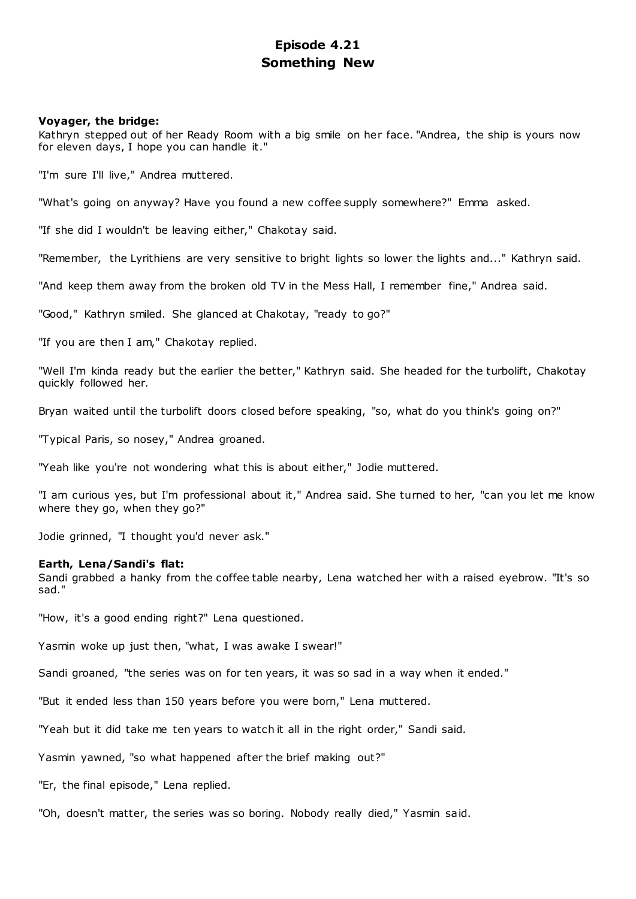# **Episode 4.21 Something New**

# **Voyager, the bridge:**

Kathryn stepped out of her Ready Room with a big smile on her face. "Andrea, the ship is yours now for eleven days, I hope you can handle it."

"I'm sure I'll live," Andrea muttered.

"What's going on anyway? Have you found a new coffee supply somewhere?" Emma asked.

"If she did I wouldn't be leaving either," Chakotay said.

"Remember, the Lyrithiens are very sensitive to bright lights so lower the lights and..." Kathryn said.

"And keep them away from the broken old TV in the Mess Hall, I remember fine," Andrea said.

"Good," Kathryn smiled. She glanced at Chakotay, "ready to go?"

"If you are then I am," Chakotay replied.

"Well I'm kinda ready but the earlier the better," Kathryn said. She headed for the turbolift, Chakotay quickly followed her.

Bryan waited until the turbolift doors closed before speaking, "so, what do you think's going on?"

"Typical Paris, so nosey," Andrea groaned.

"Yeah like you're not wondering what this is about either," Jodie muttered.

"I am curious yes, but I'm professional about it," Andrea said. She turned to her, "can you let me know where they go, when they go?"

Jodie grinned, "I thought you'd never ask."

# **Earth, Lena/Sandi's flat:**

Sandi grabbed a hanky from the coffee table nearby, Lena watched her with a raised eyebrow. "It's so sad."

"How, it's a good ending right?" Lena questioned.

Yasmin woke up just then, "what, I was awake I swear!"

Sandi groaned, "the series was on for ten years, it was so sad in a way when it ended."

"But it ended less than 150 years before you were born," Lena muttered.

"Yeah but it did take me ten years to watch it all in the right order," Sandi said.

Yasmin yawned, "so what happened after the brief making out?"

"Er, the final episode," Lena replied.

"Oh, doesn't matter, the series was so boring. Nobody really died," Yasmin said.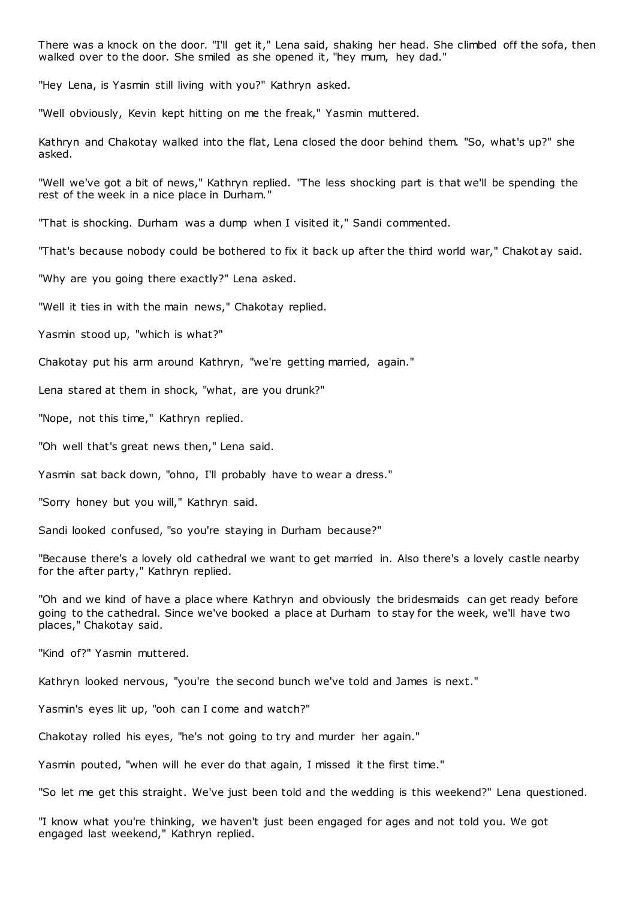There was a knock on the door. "I'll get it," Lena said, shaking her head. She climbed off the sofa, then walked over to the door. She smiled as she opened it, "hey mum, hey dad."

"Hey Lena, is Yasmin still living with you?" Kathryn asked.

"Well obviously, Kevin kept hitting on me the freak," Yasmin muttered.

Kathryn and Chakotay walked into the flat, Lena closed the door behind them. "So, what's up?" she asked.

"Well we've got a bit of news," Kathryn replied. "The less shocking part is that we'll be spending the rest of the week in a nice place in Durham."

"That is shocking. Durham was a dump when I visited it," Sandi commented.

"That's because nobody could be bothered to fix it back up after the third world war," Chakot ay said.

"Why are you going there exactly?" Lena asked.

"Well it ties in with the main news," Chakotay replied.

Yasmin stood up, "which is what?"

Chakotay put his arm around Kathryn, "we're getting married, again."

Lena stared at them in shock, "what, are you drunk?"

"Nope, not this time," Kathryn replied.

"Oh well that's great news then," Lena said.

Yasmin sat back down, "ohno, I'll probably have to wear a dress."

"Sorry honey but you will," Kathryn said.

Sandi looked confused, "so you're staying in Durham because?"

"Because there's a lovely old cathedral we want to get married in. Also there's a lovely castle nearby for the after party," Kathryn replied.

"Oh and we kind of have a place where Kathryn and obviously the bridesmaids can get ready before going to the cathedral. Since we've booked a place at Durham to stay for the week, we'll have two places," Chakotay said.

"Kind of?" Yasmin muttered.

Kathryn looked nervous, "you're the second bunch we've told and James is next."

Yasmin's eyes lit up, "ooh can I come and watch?"

Chakotay rolled his eyes, "he's not going to try and murder her again."

Yasmin pouted, "when will he ever do that again, I missed it the first time."

"So let me get this straight. We've just been told and the wedding is this weekend?" Lena questioned.

"I know what you're thinking, we haven't just been engaged for ages and not told you. We got engaged last weekend," Kathryn replied.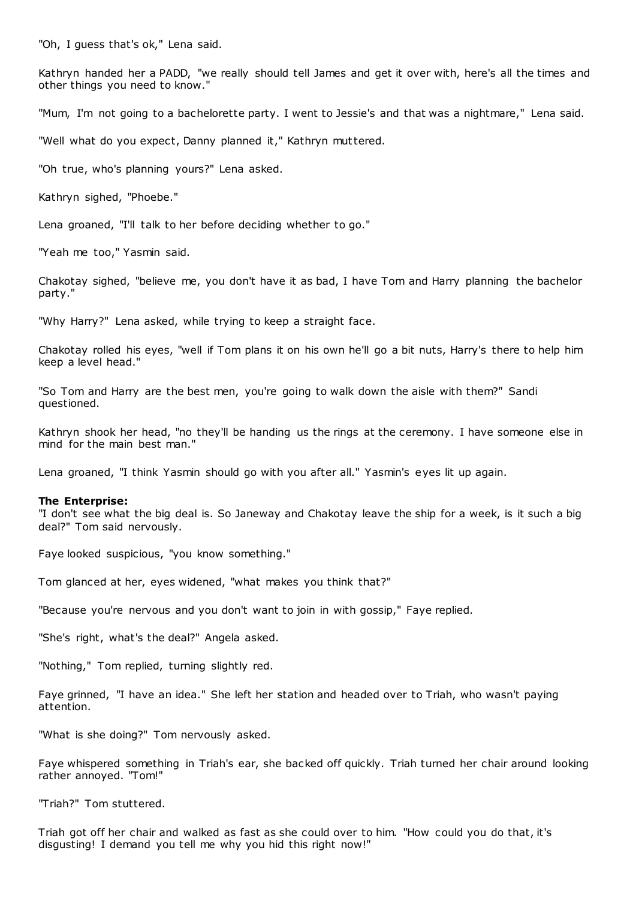"Oh, I guess that's ok," Lena said.

Kathryn handed her a PADD, "we really should tell James and get it over with, here's all the times and other things you need to know."

"Mum, I'm not going to a bachelorette party. I went to Jessie's and that was a nightmare," Lena said.

"Well what do you expect, Danny planned it," Kathryn muttered.

"Oh true, who's planning yours?" Lena asked.

Kathryn sighed, "Phoebe."

Lena groaned, "I'll talk to her before deciding whether to go."

"Yeah me too," Yasmin said.

Chakotay sighed, "believe me, you don't have it as bad, I have Tom and Harry planning the bachelor party."

"Why Harry?" Lena asked, while trying to keep a straight face.

Chakotay rolled his eyes, "well if Tom plans it on his own he'll go a bit nuts, Harry's there to help him keep a level head."

"So Tom and Harry are the best men, you're going to walk down the aisle with them?" Sandi questioned.

Kathryn shook her head, "no they'll be handing us the rings at the ceremony. I have someone else in mind for the main best man."

Lena groaned, "I think Yasmin should go with you after all." Yasmin's eyes lit up again.

#### **The Enterprise:**

"I don't see what the big deal is. So Janeway and Chakotay leave the ship for a week, is it such a big deal?" Tom said nervously.

Faye looked suspicious, "you know something."

Tom glanced at her, eyes widened, "what makes you think that?"

"Because you're nervous and you don't want to join in with gossip," Faye replied.

"She's right, what's the deal?" Angela asked.

"Nothing," Tom replied, turning slightly red.

Faye grinned, "I have an idea." She left her station and headed over to Triah, who wasn't paying attention.

"What is she doing?" Tom nervously asked.

Faye whispered something in Triah's ear, she backed off quickly. Triah turned her chair around looking rather annoyed. "Tom!"

"Triah?" Tom stuttered.

Triah got off her chair and walked as fast as she could over to him. "How could you do that, it's disgusting! I demand you tell me why you hid this right now!"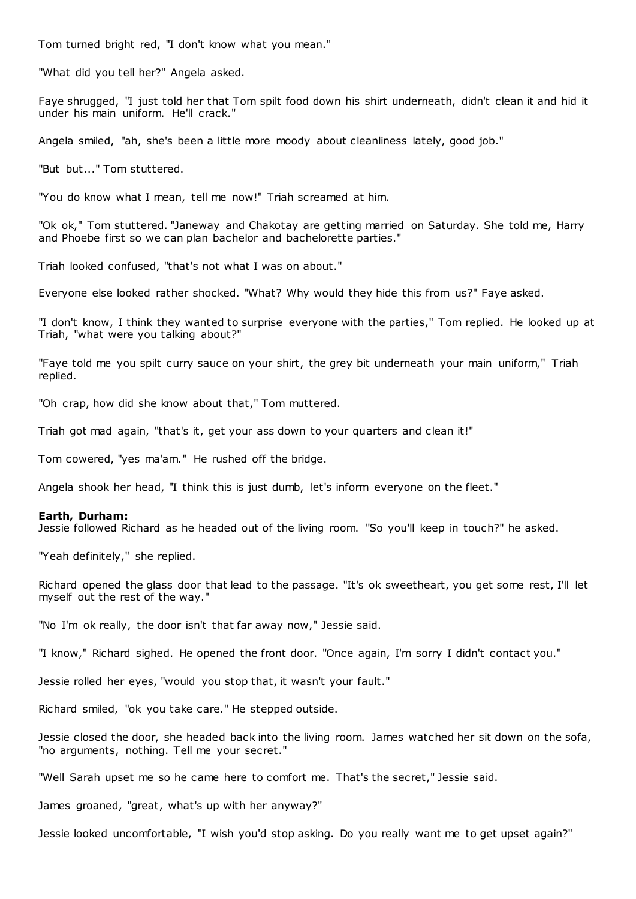Tom turned bright red, "I don't know what you mean."

"What did you tell her?" Angela asked.

Faye shrugged, "I just told her that Tom spilt food down his shirt underneath, didn't clean it and hid it under his main uniform. He'll crack."

Angela smiled, "ah, she's been a little more moody about cleanliness lately, good job."

"But but..." Tom stuttered.

"You do know what I mean, tell me now!" Triah screamed at him.

"Ok ok," Tom stuttered. "Janeway and Chakotay are getting married on Saturday. She told me, Harry and Phoebe first so we can plan bachelor and bachelorette parties."

Triah looked confused, "that's not what I was on about."

Everyone else looked rather shocked. "What? Why would they hide this from us?" Faye asked.

"I don't know, I think they wanted to surprise everyone with the parties," Tom replied. He looked up at Triah, "what were you talking about?"

"Faye told me you spilt curry sauce on your shirt, the grey bit underneath your main uniform," Triah replied.

"Oh crap, how did she know about that," Tom muttered.

Triah got mad again, "that's it, get your ass down to your quarters and clean it!"

Tom cowered, "yes ma'am." He rushed off the bridge.

Angela shook her head, "I think this is just dumb, let's inform everyone on the fleet."

## **Earth, Durham:**

Jessie followed Richard as he headed out of the living room. "So you'll keep in touch?" he asked.

"Yeah definitely," she replied.

Richard opened the glass door that lead to the passage. "It's ok sweetheart, you get some rest, I'll let myself out the rest of the way."

"No I'm ok really, the door isn't that far away now," Jessie said.

"I know," Richard sighed. He opened the front door. "Once again, I'm sorry I didn't contact you."

Jessie rolled her eyes, "would you stop that, it wasn't your fault."

Richard smiled, "ok you take care." He stepped outside.

Jessie closed the door, she headed back into the living room. James watched her sit down on the sofa, "no arguments, nothing. Tell me your secret."

"Well Sarah upset me so he came here to comfort me. That's the secret," Jessie said.

James groaned, "great, what's up with her anyway?"

Jessie looked uncomfortable, "I wish you'd stop asking. Do you really want me to get upset again?"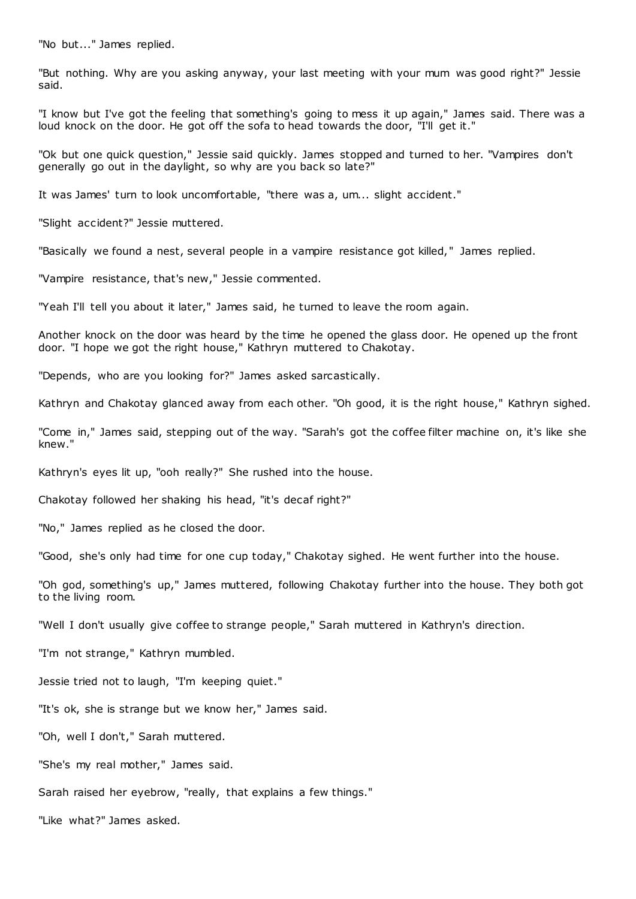"No but..." James replied.

"But nothing. Why are you asking anyway, your last meeting with your mum was good right?" Jessie said.

"I know but I've got the feeling that something's going to mess it up again," James said. There was a loud knock on the door. He got off the sofa to head towards the door, "I'll get it."

"Ok but one quick question," Jessie said quickly. James stopped and turned to her. "Vampires don't generally go out in the daylight, so why are you back so late?"

It was James' turn to look uncomfortable, "there was a, um... slight accident."

"Slight accident?" Jessie muttered.

"Basically we found a nest, several people in a vampire resistance got killed, " James replied.

"Vampire resistance, that's new," Jessie commented.

"Yeah I'll tell you about it later," James said, he turned to leave the room again.

Another knock on the door was heard by the time he opened the glass door. He opened up the front door. "I hope we got the right house," Kathryn muttered to Chakotay.

"Depends, who are you looking for?" James asked sarcastically.

Kathryn and Chakotay glanced away from each other. "Oh good, it is the right house," Kathryn sighed.

"Come in," James said, stepping out of the way. "Sarah's got the coffee filter machine on, it's like she knew."

Kathryn's eyes lit up, "ooh really?" She rushed into the house.

Chakotay followed her shaking his head, "it's decaf right?"

"No," James replied as he closed the door.

"Good, she's only had time for one cup today," Chakotay sighed. He went further into the house.

"Oh god, something's up," James muttered, following Chakotay further into the house. They both got to the living room.

"Well I don't usually give coffee to strange people," Sarah muttered in Kathryn's direction.

"I'm not strange," Kathryn mumbled.

Jessie tried not to laugh, "I'm keeping quiet."

"It's ok, she is strange but we know her," James said.

"Oh, well I don't," Sarah muttered.

"She's my real mother," James said.

Sarah raised her eyebrow, "really, that explains a few things."

"Like what?" James asked.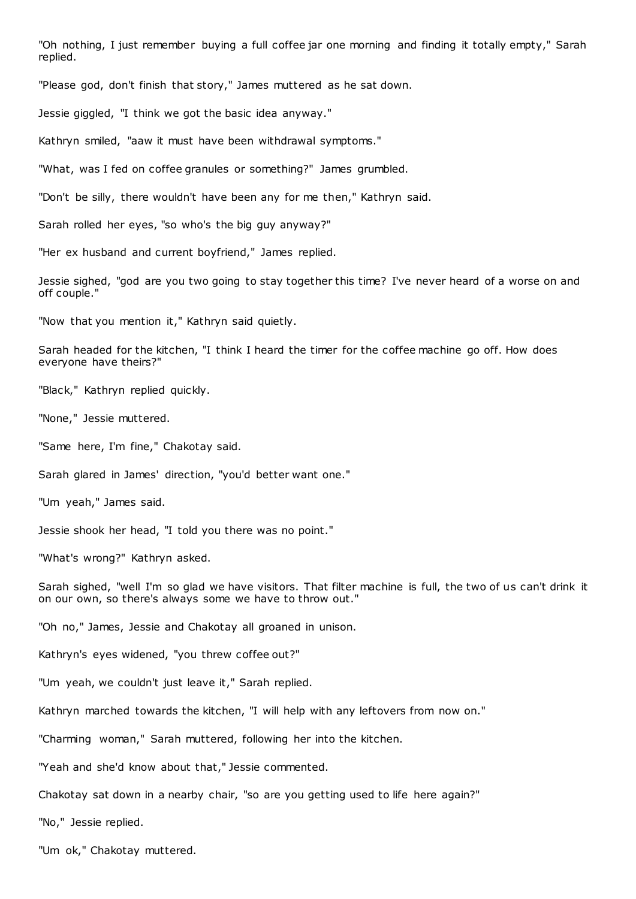"Oh nothing, I just remember buying a full coffee jar one morning and finding it totally empty," Sarah replied.

"Please god, don't finish that story," James muttered as he sat down.

Jessie giggled, "I think we got the basic idea anyway."

Kathryn smiled, "aaw it must have been withdrawal symptoms."

"What, was I fed on coffee granules or something?" James grumbled.

"Don't be silly, there wouldn't have been any for me then," Kathryn said.

Sarah rolled her eyes, "so who's the big guy anyway?"

"Her ex husband and current boyfriend," James replied.

Jessie sighed, "god are you two going to stay together this time? I've never heard of a worse on and off couple."

"Now that you mention it," Kathryn said quietly.

Sarah headed for the kitchen, "I think I heard the timer for the coffee machine go off. How does everyone have theirs?"

"Black," Kathryn replied quickly.

"None," Jessie muttered.

"Same here, I'm fine," Chakotay said.

Sarah glared in James' direction, "you'd better want one."

"Um yeah," James said.

Jessie shook her head, "I told you there was no point."

"What's wrong?" Kathryn asked.

Sarah sighed, "well I'm so glad we have visitors. That filter machine is full, the two of us can't drink it on our own, so there's always some we have to throw out."

"Oh no," James, Jessie and Chakotay all groaned in unison.

Kathryn's eyes widened, "you threw coffee out?"

"Um yeah, we couldn't just leave it," Sarah replied.

Kathryn marched towards the kitchen, "I will help with any leftovers from now on."

"Charming woman," Sarah muttered, following her into the kitchen.

"Yeah and she'd know about that," Jessie commented.

Chakotay sat down in a nearby chair, "so are you getting used to life here again?"

"No," Jessie replied.

"Um ok," Chakotay muttered.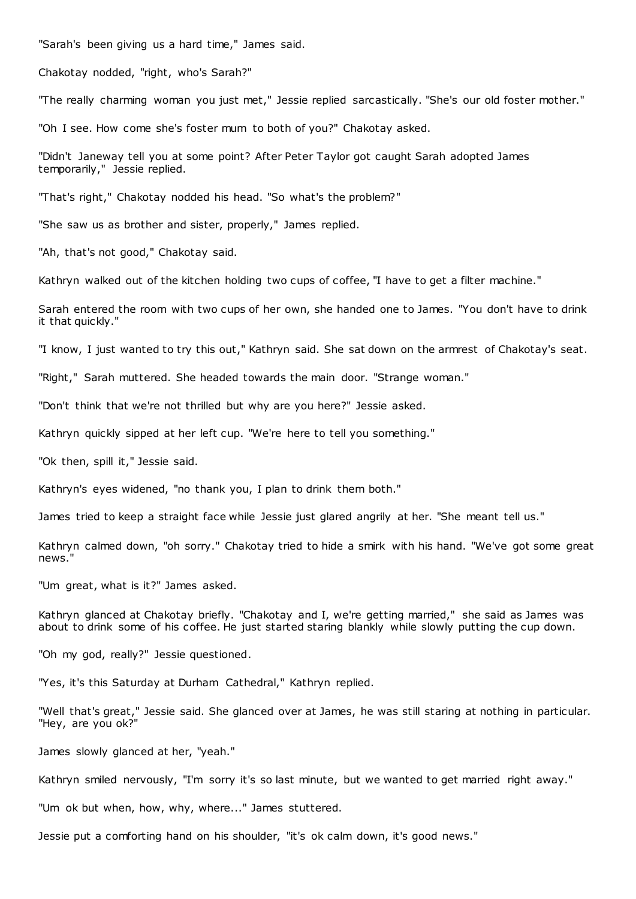"Sarah's been giving us a hard time," James said.

Chakotay nodded, "right, who's Sarah?"

"The really charming woman you just met," Jessie replied sarcastically. "She's our old foster mother."

"Oh I see. How come she's foster mum to both of you?" Chakotay asked.

"Didn't Janeway tell you at some point? After Peter Taylor got caught Sarah adopted James temporarily," Jessie replied.

"That's right," Chakotay nodded his head. "So what's the problem?"

"She saw us as brother and sister, properly," James replied.

"Ah, that's not good," Chakotay said.

Kathryn walked out of the kitchen holding two cups of coffee, "I have to get a filter machine."

Sarah entered the room with two cups of her own, she handed one to James. "You don't have to drink it that quickly."

"I know, I just wanted to try this out," Kathryn said. She sat down on the armrest of Chakotay's seat.

"Right," Sarah muttered. She headed towards the main door. "Strange woman."

"Don't think that we're not thrilled but why are you here?" Jessie asked.

Kathryn quickly sipped at her left cup. "We're here to tell you something."

"Ok then, spill it," Jessie said.

Kathryn's eyes widened, "no thank you, I plan to drink them both."

James tried to keep a straight face while Jessie just glared angrily at her. "She meant tell us."

Kathryn calmed down, "oh sorry." Chakotay tried to hide a smirk with his hand. "We've got some great news."

"Um great, what is it?" James asked.

Kathryn glanced at Chakotay briefly. "Chakotay and I, we're getting married," she said as James was about to drink some of his coffee. He just started staring blankly while slowly putting the cup down.

"Oh my god, really?" Jessie questioned.

"Yes, it's this Saturday at Durham Cathedral," Kathryn replied.

"Well that's great," Jessie said. She glanced over at James, he was still staring at nothing in particular. "Hey, are you ok?"

James slowly glanced at her, "yeah."

Kathryn smiled nervously, "I'm sorry it's so last minute, but we wanted to get married right away."

"Um ok but when, how, why, where..." James stuttered.

Jessie put a comforting hand on his shoulder, "it's ok calm down, it's good news."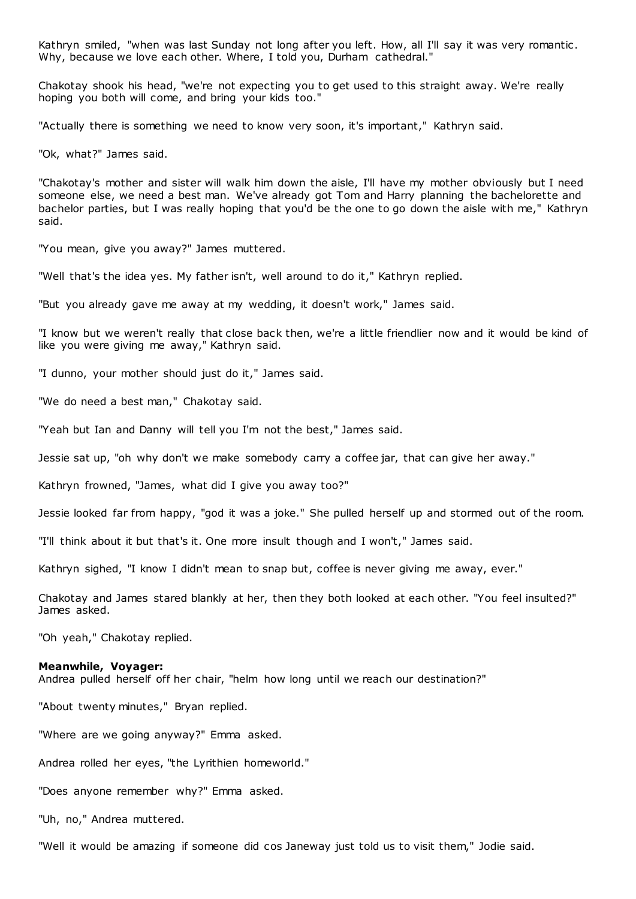Kathryn smiled, "when was last Sunday not long after you left. How, all I'll say it was very romantic . Why, because we love each other. Where, I told you, Durham cathedral."

Chakotay shook his head, "we're not expecting you to get used to this straight away. We're really hoping you both will come, and bring your kids too."

"Actually there is something we need to know very soon, it's important," Kathryn said.

"Ok, what?" James said.

"Chakotay's mother and sister will walk him down the aisle, I'll have my mother obviously but I need someone else, we need a best man. We've already got Tom and Harry planning the bachelorette and bachelor parties, but I was really hoping that you'd be the one to go down the aisle with me," Kathryn said.

"You mean, give you away?" James muttered.

"Well that's the idea yes. My father isn't, well around to do it," Kathryn replied.

"But you already gave me away at my wedding, it doesn't work," James said.

"I know but we weren't really that close back then, we're a little friendlier now and it would be kind of like you were giving me away," Kathryn said.

"I dunno, your mother should just do it," James said.

"We do need a best man," Chakotay said.

"Yeah but Ian and Danny will tell you I'm not the best," James said.

Jessie sat up, "oh why don't we make somebody carry a coffee jar, that can give her away."

Kathryn frowned, "James, what did I give you away too?"

Jessie looked far from happy, "god it was a joke." She pulled herself up and stormed out of the room.

"I'll think about it but that's it. One more insult though and I won't," James said.

Kathryn sighed, "I know I didn't mean to snap but, coffee is never giving me away, ever."

Chakotay and James stared blankly at her, then they both looked at each other. "You feel insulted?" James asked.

"Oh yeah," Chakotay replied.

#### **Meanwhile, Voyager:**

Andrea pulled herself off her chair, "helm how long until we reach our destination?"

"About twenty minutes," Bryan replied.

"Where are we going anyway?" Emma asked.

Andrea rolled her eyes, "the Lyrithien homeworld."

"Does anyone remember why?" Emma asked.

"Uh, no," Andrea muttered.

"Well it would be amazing if someone did cos Janeway just told us to visit them," Jodie said.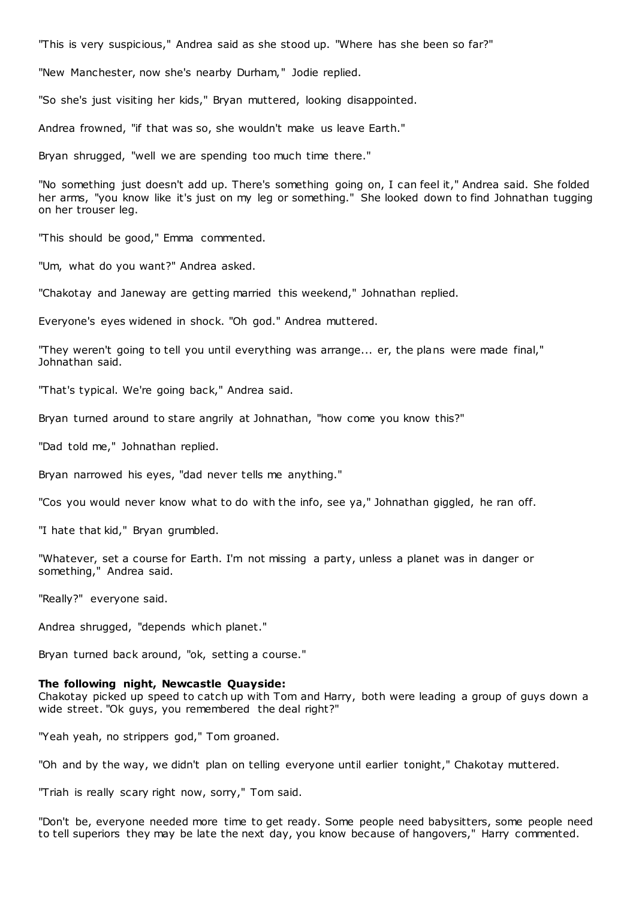"This is very suspicious," Andrea said as she stood up. "Where has she been so far?"

"New Manchester, now she's nearby Durham," Jodie replied.

"So she's just visiting her kids," Bryan muttered, looking disappointed.

Andrea frowned, "if that was so, she wouldn't make us leave Earth."

Bryan shrugged, "well we are spending too much time there."

"No something just doesn't add up. There's something going on, I can feel it," Andrea said. She folded her arms, "you know like it's just on my leg or something." She looked down to find Johnathan tugging on her trouser leg.

"This should be good," Emma commented.

"Um, what do you want?" Andrea asked.

"Chakotay and Janeway are getting married this weekend," Johnathan replied.

Everyone's eyes widened in shock. "Oh god." Andrea muttered.

"They weren't going to tell you until everything was arrange... er, the plans were made final," Johnathan said.

"That's typical. We're going back," Andrea said.

Bryan turned around to stare angrily at Johnathan, "how come you know this?"

"Dad told me," Johnathan replied.

Bryan narrowed his eyes, "dad never tells me anything."

"Cos you would never know what to do with the info, see ya," Johnathan giggled, he ran off.

"I hate that kid," Bryan grumbled.

"Whatever, set a course for Earth. I'm not missing a party, unless a planet was in danger or something," Andrea said.

"Really?" everyone said.

Andrea shrugged, "depends which planet."

Bryan turned back around, "ok, setting a course."

# **The following night, Newcastle Quayside:**

Chakotay picked up speed to catch up with Tom and Harry, both were leading a group of guys down a wide street. "Ok guys, you remembered the deal right?"

"Yeah yeah, no strippers god," Tom groaned.

"Oh and by the way, we didn't plan on telling everyone until earlier tonight," Chakotay muttered.

"Triah is really scary right now, sorry," Tom said.

"Don't be, everyone needed more time to get ready. Some people need babysitters, some people need to tell superiors they may be late the next day, you know because of hangovers," Harry commented.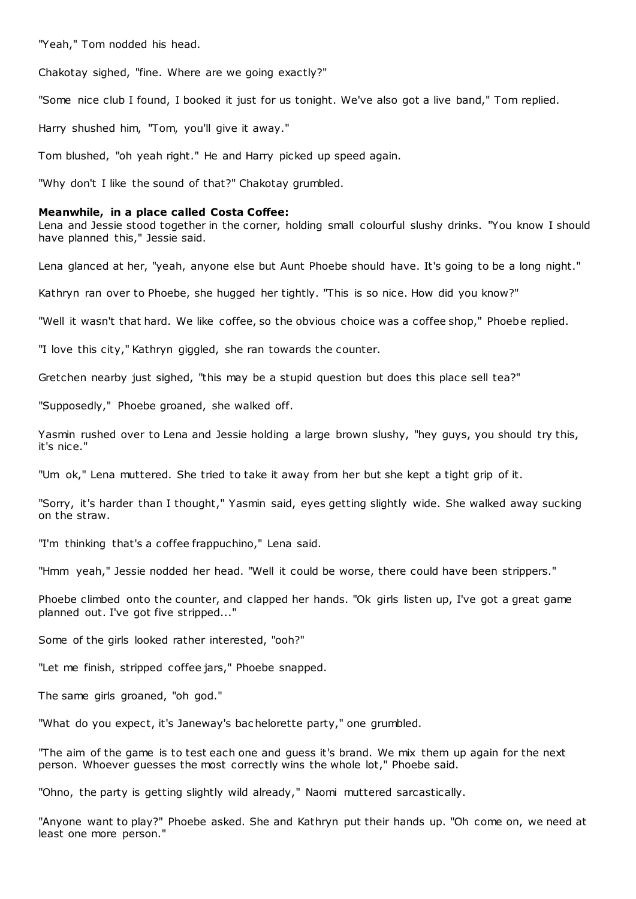"Yeah," Tom nodded his head.

Chakotay sighed, "fine. Where are we going exactly?"

"Some nice club I found, I booked it just for us tonight. We've also got a live band," Tom replied.

Harry shushed him, "Tom, you'll give it away."

Tom blushed, "oh yeah right." He and Harry picked up speed again.

"Why don't I like the sound of that?" Chakotay grumbled.

## **Meanwhile, in a place called Costa Coffee:**

Lena and Jessie stood together in the corner, holding small colourful slushy drinks. "You know I should have planned this," Jessie said.

Lena glanced at her, "yeah, anyone else but Aunt Phoebe should have. It's going to be a long night."

Kathryn ran over to Phoebe, she hugged her tightly. "This is so nice. How did you know?"

"Well it wasn't that hard. We like coffee, so the obvious choice was a coffee shop," Phoebe replied.

"I love this city," Kathryn giggled, she ran towards the counter.

Gretchen nearby just sighed, "this may be a stupid question but does this place sell tea?"

"Supposedly," Phoebe groaned, she walked off.

Yasmin rushed over to Lena and Jessie holding a large brown slushy, "hey guys, you should try this, it's nice."

"Um ok," Lena muttered. She tried to take it away from her but she kept a tight grip of it.

"Sorry, it's harder than I thought," Yasmin said, eyes getting slightly wide. She walked away sucking on the straw.

"I'm thinking that's a coffee frappuchino," Lena said.

"Hmm yeah," Jessie nodded her head. "Well it could be worse, there could have been strippers."

Phoebe climbed onto the counter, and clapped her hands. "Ok girls listen up, I've got a great game planned out. I've got five stripped..."

Some of the girls looked rather interested, "ooh?"

"Let me finish, stripped coffee jars," Phoebe snapped.

The same girls groaned, "oh god."

"What do you expect, it's Janeway's bachelorette party," one grumbled.

"The aim of the game is to test each one and guess it's brand. We mix them up again for the next person. Whoever guesses the most correctly wins the whole lot," Phoebe said.

"Ohno, the party is getting slightly wild already," Naomi muttered sarcastically.

"Anyone want to play?" Phoebe asked. She and Kathryn put their hands up. "Oh come on, we need at least one more person."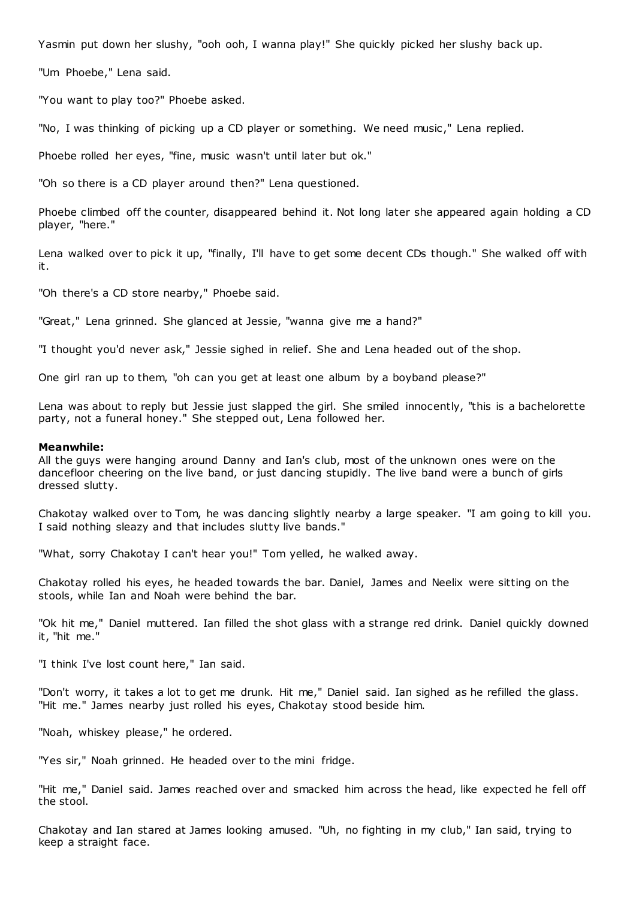Yasmin put down her slushy, "ooh ooh, I wanna play!" She quickly picked her slushy back up.

"Um Phoebe," Lena said.

"You want to play too?" Phoebe asked.

"No, I was thinking of picking up a CD player or something. We need music ," Lena replied.

Phoebe rolled her eyes, "fine, music wasn't until later but ok."

"Oh so there is a CD player around then?" Lena questioned.

Phoebe climbed off the counter, disappeared behind it. Not long later she appeared again holding a CD player, "here."

Lena walked over to pick it up, "finally, I'll have to get some decent CDs though." She walked off with it.

"Oh there's a CD store nearby," Phoebe said.

"Great," Lena grinned. She glanced at Jessie, "wanna give me a hand?"

"I thought you'd never ask," Jessie sighed in relief. She and Lena headed out of the shop.

One girl ran up to them, "oh can you get at least one album by a boyband please?"

Lena was about to reply but Jessie just slapped the girl. She smiled innocently, "this is a bachelorette party, not a funeral honey." She stepped out, Lena followed her.

#### **Meanwhile:**

All the guys were hanging around Danny and Ian's club, most of the unknown ones were on the dancefloor cheering on the live band, or just dancing stupidly. The live band were a bunch of girls dressed slutty.

Chakotay walked over to Tom, he was dancing slightly nearby a large speaker. "I am going to kill you. I said nothing sleazy and that includes slutty live bands."

"What, sorry Chakotay I can't hear you!" Tom yelled, he walked away.

Chakotay rolled his eyes, he headed towards the bar. Daniel, James and Neelix were sitting on the stools, while Ian and Noah were behind the bar.

"Ok hit me," Daniel muttered. Ian filled the shot glass with a strange red drink. Daniel quickly downed it, "hit me."

"I think I've lost count here," Ian said.

"Don't worry, it takes a lot to get me drunk. Hit me," Daniel said. Ian sighed as he refilled the glass. "Hit me." James nearby just rolled his eyes, Chakotay stood beside him.

"Noah, whiskey please," he ordered.

"Yes sir," Noah grinned. He headed over to the mini fridge.

"Hit me," Daniel said. James reached over and smacked him across the head, like expected he fell off the stool.

Chakotay and Ian stared at James looking amused. "Uh, no fighting in my club," Ian said, trying to keep a straight face.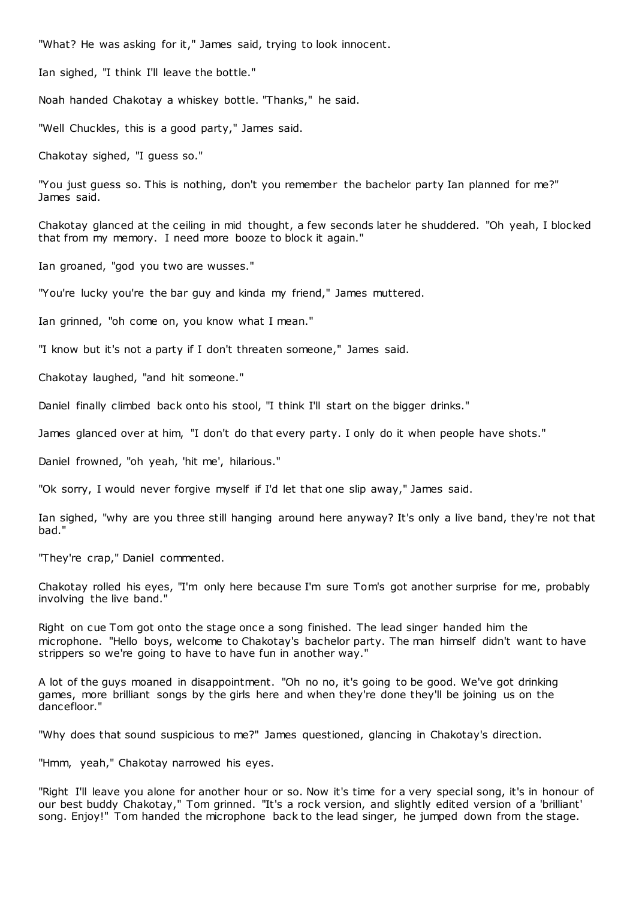"What? He was asking for it," James said, trying to look innocent.

Ian sighed, "I think I'll leave the bottle."

Noah handed Chakotay a whiskey bottle. "Thanks," he said.

"Well Chuckles, this is a good party," James said.

Chakotay sighed, "I guess so."

"You just guess so. This is nothing, don't you remember the bachelor party Ian planned for me?" James said.

Chakotay glanced at the ceiling in mid thought, a few seconds later he shuddered. "Oh yeah, I blocked that from my memory. I need more booze to block it again."

Ian groaned, "god you two are wusses."

"You're lucky you're the bar guy and kinda my friend," James muttered.

Ian grinned, "oh come on, you know what I mean."

"I know but it's not a party if I don't threaten someone," James said.

Chakotay laughed, "and hit someone."

Daniel finally climbed back onto his stool, "I think I'll start on the bigger drinks."

James glanced over at him, "I don't do that every party. I only do it when people have shots."

Daniel frowned, "oh yeah, 'hit me', hilarious."

"Ok sorry, I would never forgive myself if I'd let that one slip away," James said.

Ian sighed, "why are you three still hanging around here anyway? It's only a live band, they're not that bad."

"They're crap," Daniel commented.

Chakotay rolled his eyes, "I'm only here because I'm sure Tom's got another surprise for me, probably involving the live band."

Right on cue Tom got onto the stage once a song finished. The lead singer handed him the microphone. "Hello boys, welcome to Chakotay's bachelor party. The man himself didn't want to have strippers so we're going to have to have fun in another way."

A lot of the guys moaned in disappointment. "Oh no no, it's going to be good. We've got drinking games, more brilliant songs by the girls here and when they're done they'll be joining us on the dancefloor."

"Why does that sound suspicious to me?" James questioned, glancing in Chakotay's direction.

"Hmm, yeah," Chakotay narrowed his eyes.

"Right I'll leave you alone for another hour or so. Now it's time for a very special song, it's in honour of our best buddy Chakotay," Tom grinned. "It's a rock version, and slightly edited version of a 'brilliant' song. Enjoy!" Tom handed the microphone back to the lead singer, he jumped down from the stage.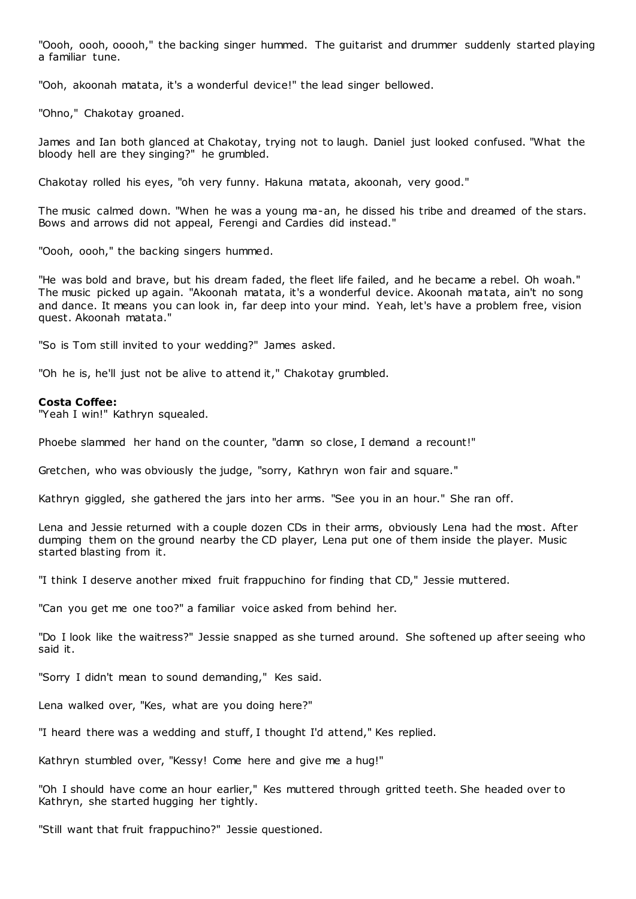"Oooh, oooh, ooooh," the backing singer hummed. The guitarist and drummer suddenly started playing a familiar tune.

"Ooh, akoonah matata, it's a wonderful device!" the lead singer bellowed.

"Ohno," Chakotay groaned.

James and Ian both glanced at Chakotay, trying not to laugh. Daniel just looked confused. "What the bloody hell are they singing?" he grumbled.

Chakotay rolled his eyes, "oh very funny. Hakuna matata, akoonah, very good."

The music calmed down. "When he was a young ma-an, he dissed his tribe and dreamed of the stars. Bows and arrows did not appeal, Ferengi and Cardies did instead."

"Oooh, oooh," the backing singers hummed.

"He was bold and brave, but his dream faded, the fleet life failed, and he became a rebel. Oh woah." The music picked up again. "Akoonah matata, it's a wonderful device. Akoonah matata, ain't no song and dance. It means you can look in, far deep into your mind. Yeah, let's have a problem free, vision quest. Akoonah matata."

"So is Tom still invited to your wedding?" James asked.

"Oh he is, he'll just not be alive to attend it," Chakotay grumbled.

# **Costa Coffee:**

"Yeah I win!" Kathryn squealed.

Phoebe slammed her hand on the counter, "damn so close, I demand a recount!"

Gretchen, who was obviously the judge, "sorry, Kathryn won fair and square."

Kathryn giggled, she gathered the jars into her arms. "See you in an hour." She ran off.

Lena and Jessie returned with a couple dozen CDs in their arms, obviously Lena had the most. After dumping them on the ground nearby the CD player, Lena put one of them inside the player. Music started blasting from it.

"I think I deserve another mixed fruit frappuchino for finding that CD," Jessie muttered.

"Can you get me one too?" a familiar voice asked from behind her.

"Do I look like the waitress?" Jessie snapped as she turned around. She softened up after seeing who said it.

"Sorry I didn't mean to sound demanding," Kes said.

Lena walked over, "Kes, what are you doing here?"

"I heard there was a wedding and stuff, I thought I'd attend," Kes replied.

Kathryn stumbled over, "Kessy! Come here and give me a hug!"

"Oh I should have come an hour earlier," Kes muttered through gritted teeth. She headed over to Kathryn, she started hugging her tightly.

"Still want that fruit frappuchino?" Jessie questioned.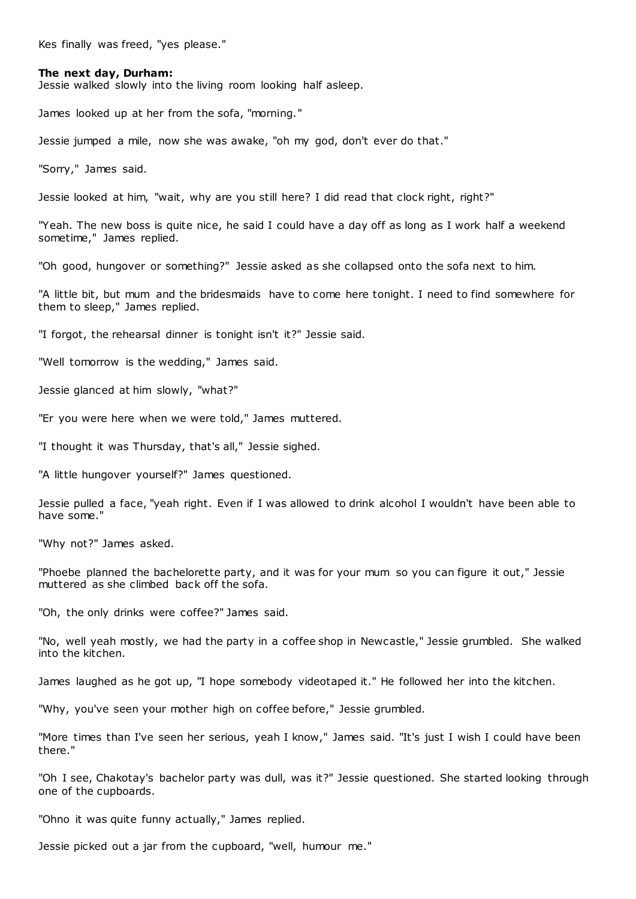Kes finally was freed, "yes please."

#### **The next day, Durham:**

Jessie walked slowly into the living room looking half asleep.

James looked up at her from the sofa, "morning."

Jessie jumped a mile, now she was awake, "oh my god, don't ever do that."

"Sorry," James said.

Jessie looked at him, "wait, why are you still here? I did read that clock right, right?"

"Yeah. The new boss is quite nice, he said I could have a day off as long as I work half a weekend sometime," James replied.

"Oh good, hungover or something?" Jessie asked as she collapsed onto the sofa next to him.

"A little bit, but mum and the bridesmaids have to come here tonight. I need to find somewhere for them to sleep," James replied.

"I forgot, the rehearsal dinner is tonight isn't it?" Jessie said.

"Well tomorrow is the wedding," James said.

Jessie glanced at him slowly, "what?"

"Er you were here when we were told," James muttered.

"I thought it was Thursday, that's all," Jessie sighed.

"A little hungover yourself?" James questioned.

Jessie pulled a face, "yeah right. Even if I was allowed to drink alcohol I wouldn't have been able to have some."

"Why not?" James asked.

"Phoebe planned the bachelorette party, and it was for your mum so you can figure it out," Jessie muttered as she climbed back off the sofa.

"Oh, the only drinks were coffee?" James said.

"No, well yeah mostly, we had the party in a coffee shop in Newcastle," Jessie grumbled. She walked into the kitchen.

James laughed as he got up, "I hope somebody videotaped it." He followed her into the kitchen.

"Why, you've seen your mother high on coffee before," Jessie grumbled.

"More times than I've seen her serious, yeah I know," James said. "It's just I wish I could have been there."

"Oh I see, Chakotay's bachelor party was dull, was it?" Jessie questioned. She started looking through one of the cupboards.

"Ohno it was quite funny actually," James replied.

Jessie picked out a jar from the cupboard, "well, humour me."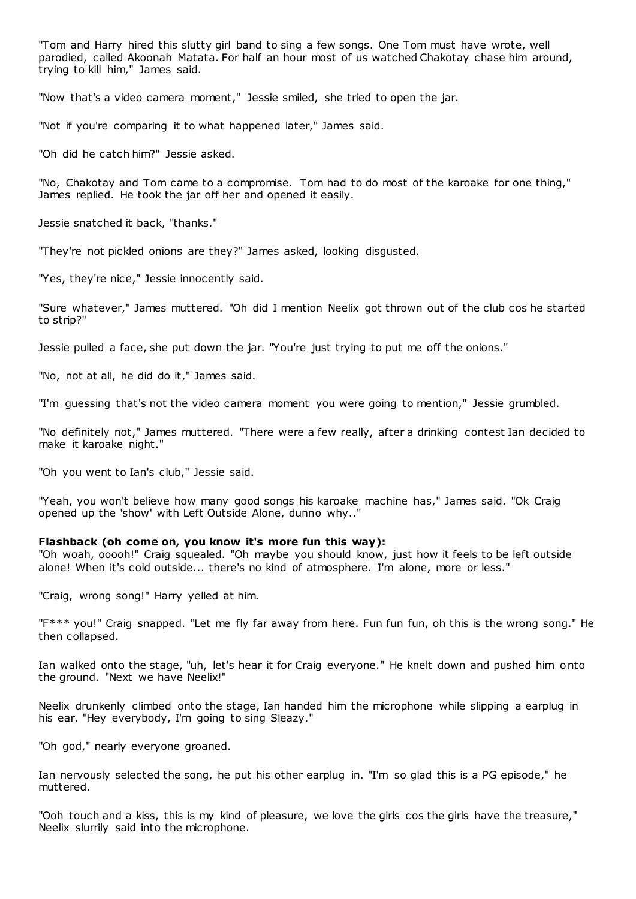"Tom and Harry hired this slutty girl band to sing a few songs. One Tom must have wrote, well parodied, called Akoonah Matata. For half an hour most of us watched Chakotay chase him around, trying to kill him," James said.

"Now that's a video camera moment," Jessie smiled, she tried to open the jar.

"Not if you're comparing it to what happened later," James said.

"Oh did he catch him?" Jessie asked.

"No, Chakotay and Tom came to a compromise. Tom had to do most of the karoake for one thing," James replied. He took the jar off her and opened it easily.

Jessie snatched it back, "thanks."

"They're not pickled onions are they?" James asked, looking disgusted.

"Yes, they're nice," Jessie innocently said.

"Sure whatever," James muttered. "Oh did I mention Neelix got thrown out of the club cos he started to strip?"

Jessie pulled a face, she put down the jar. "You're just trying to put me off the onions."

"No, not at all, he did do it," James said.

"I'm guessing that's not the video camera moment you were going to mention," Jessie grumbled.

"No definitely not," James muttered. "There were a few really, after a drinking contest Ian decided to make it karoake night."

"Oh you went to Ian's club," Jessie said.

"Yeah, you won't believe how many good songs his karoake machine has," James said. "Ok Craig opened up the 'show' with Left Outside Alone, dunno why..

# **Flashback (oh come on, you know it's more fun this way):**

"Oh woah, ooooh!" Craig squealed. "Oh maybe you should know, just how it feels to be left outside alone! When it's cold outside... there's no kind of atmosphere. I'm alone, more or less."

"Craig, wrong song!" Harry yelled at him.

"F<sup>\*\*\*</sup> you!" Craig snapped. "Let me fly far away from here. Fun fun fun, oh this is the wrong song." He then collapsed.

Ian walked onto the stage, "uh, let's hear it for Craig everyone." He knelt down and pushed him onto the ground. "Next we have Neelix!"

Neelix drunkenly climbed onto the stage, Ian handed him the microphone while slipping a earplug in his ear. "Hey everybody, I'm going to sing Sleazy."

"Oh god," nearly everyone groaned.

Ian nervously selected the song, he put his other earplug in. "I'm so glad this is a PG episode," he muttered.

"Ooh touch and a kiss, this is my kind of pleasure, we love the girls cos the girls have the treasure," Neelix slurrily said into the microphone.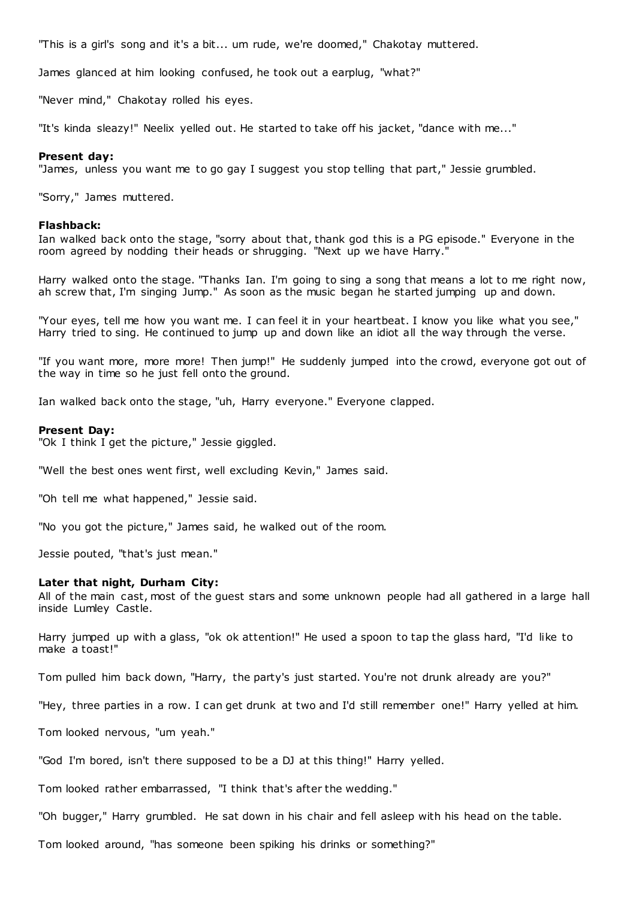"This is a girl's song and it's a bit... um rude, we're doomed," Chakotay muttered.

James glanced at him looking confused, he took out a earplug, "what?"

"Never mind," Chakotay rolled his eyes.

"It's kinda sleazy!" Neelix yelled out. He started to take off his jacket, "dance with me..."

## **Present day:**

"James, unless you want me to go gay I suggest you stop telling that part," Jessie grumbled.

"Sorry," James muttered.

## **Flashback:**

Ian walked back onto the stage, "sorry about that, thank god this is a PG episode." Everyone in the room agreed by nodding their heads or shrugging. "Next up we have Harry."

Harry walked onto the stage. "Thanks Ian. I'm going to sing a song that means a lot to me right now, ah screw that, I'm singing Jump." As soon as the music began he started jumping up and down.

"Your eyes, tell me how you want me. I can feel it in your heartbeat. I know you like what you see," Harry tried to sing. He continued to jump up and down like an idiot all the way through the verse.

"If you want more, more more! Then jump!" He suddenly jumped into the crowd, everyone got out of the way in time so he just fell onto the ground.

Ian walked back onto the stage, "uh, Harry everyone." Everyone clapped.

#### **Present Day:**

"Ok I think I get the picture," Jessie giggled.

"Well the best ones went first, well excluding Kevin," James said.

"Oh tell me what happened," Jessie said.

"No you got the picture," James said, he walked out of the room.

Jessie pouted, "that's just mean."

#### **Later that night, Durham City:**

All of the main cast, most of the guest stars and some unknown people had all gathered in a large hall inside Lumley Castle.

Harry jumped up with a glass, "ok ok attention!" He used a spoon to tap the glass hard, "I'd like to make a toast!"

Tom pulled him back down, "Harry, the party's just started. You're not drunk already are you?"

"Hey, three parties in a row. I can get drunk at two and I'd still remember one!" Harry yelled at him.

Tom looked nervous, "um yeah."

"God I'm bored, isn't there supposed to be a DJ at this thing!" Harry yelled.

Tom looked rather embarrassed, "I think that's after the wedding."

"Oh bugger," Harry grumbled. He sat down in his chair and fell asleep with his head on the table.

Tom looked around, "has someone been spiking his drinks or something?"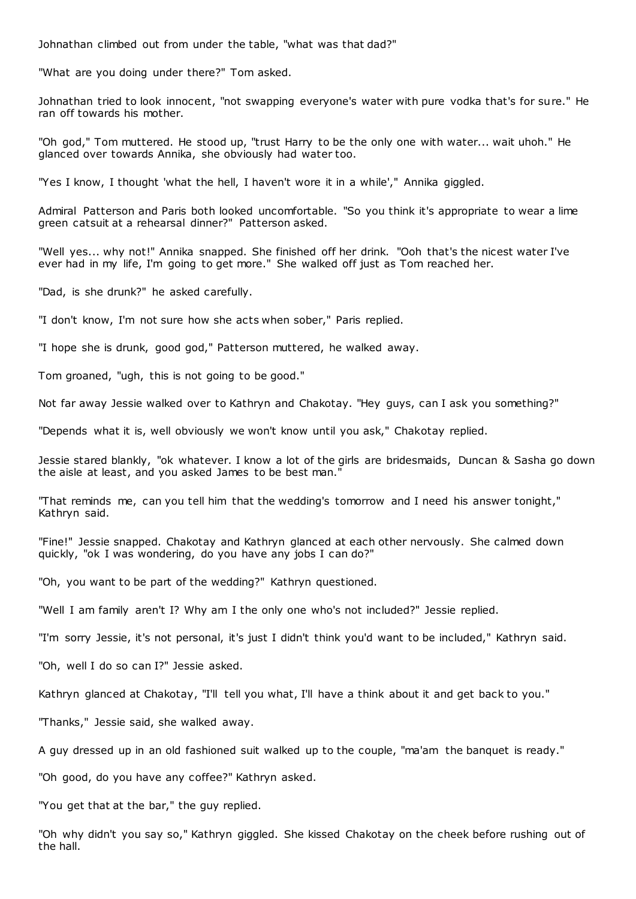Johnathan climbed out from under the table, "what was that dad?"

"What are you doing under there?" Tom asked.

Johnathan tried to look innocent, "not swapping everyone's water with pure vodka that's for sure." He ran off towards his mother.

"Oh god," Tom muttered. He stood up, "trust Harry to be the only one with water... wait uhoh." He glanced over towards Annika, she obviously had water too.

"Yes I know, I thought 'what the hell, I haven't wore it in a while'," Annika giggled.

Admiral Patterson and Paris both looked uncomfortable. "So you think it's appropriate to wear a lime green catsuit at a rehearsal dinner?" Patterson asked.

"Well yes... why not!" Annika snapped. She finished off her drink. "Ooh that's the nicest water I've ever had in my life, I'm going to get more." She walked off just as Tom reached her.

"Dad, is she drunk?" he asked carefully.

"I don't know, I'm not sure how she acts when sober," Paris replied.

"I hope she is drunk, good god," Patterson muttered, he walked away.

Tom groaned, "ugh, this is not going to be good."

Not far away Jessie walked over to Kathryn and Chakotay. "Hey guys, can I ask you something?"

"Depends what it is, well obviously we won't know until you ask," Chakotay replied.

Jessie stared blankly, "ok whatever. I know a lot of the girls are bridesmaids, Duncan & Sasha go down the aisle at least, and you asked James to be best man."

"That reminds me, can you tell him that the wedding's tomorrow and I need his answer tonight," Kathryn said.

"Fine!" Jessie snapped. Chakotay and Kathryn glanced at each other nervously. She calmed down quickly, "ok I was wondering, do you have any jobs I can do?"

"Oh, you want to be part of the wedding?" Kathryn questioned.

"Well I am family aren't I? Why am I the only one who's not included?" Jessie replied.

"I'm sorry Jessie, it's not personal, it's just I didn't think you'd want to be included," Kathryn said.

"Oh, well I do so can I?" Jessie asked.

Kathryn glanced at Chakotay, "I'll tell you what, I'll have a think about it and get back to you."

"Thanks," Jessie said, she walked away.

A guy dressed up in an old fashioned suit walked up to the couple, "ma'am the banquet is ready."

"Oh good, do you have any coffee?" Kathryn asked.

"You get that at the bar," the guy replied.

"Oh why didn't you say so," Kathryn giggled. She kissed Chakotay on the cheek before rushing out of the hall.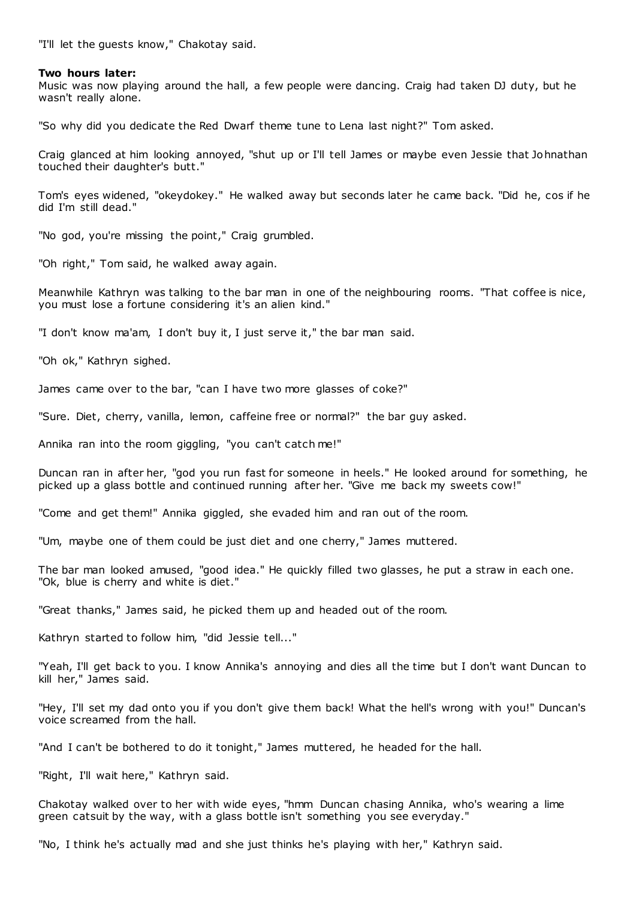"I'll let the guests know," Chakotay said.

## **Two hours later:**

Music was now playing around the hall, a few people were dancing. Craig had taken DJ duty, but he wasn't really alone.

"So why did you dedicate the Red Dwarf theme tune to Lena last night?" Tom asked.

Craig glanced at him looking annoyed, "shut up or I'll tell James or maybe even Jessie that Johnathan touched their daughter's butt."

Tom's eyes widened, "okeydokey." He walked away but seconds later he came back. "Did he, cos if he did I'm still dead."

"No god, you're missing the point," Craig grumbled.

"Oh right," Tom said, he walked away again.

Meanwhile Kathryn was talking to the bar man in one of the neighbouring rooms. "That coffee is nice, you must lose a fortune considering it's an alien kind."

"I don't know ma'am, I don't buy it, I just serve it," the bar man said.

"Oh ok," Kathryn sighed.

James came over to the bar, "can I have two more glasses of coke?"

"Sure. Diet, cherry, vanilla, lemon, caffeine free or normal?" the bar guy asked.

Annika ran into the room giggling, "you can't catch me!"

Duncan ran in after her, "god you run fast for someone in heels." He looked around for something, he picked up a glass bottle and continued running after her. "Give me back my sweets cow!"

"Come and get them!" Annika giggled, she evaded him and ran out of the room.

"Um, maybe one of them could be just diet and one cherry," James muttered.

The bar man looked amused, "good idea." He quickly filled two glasses, he put a straw in each one. "Ok, blue is cherry and white is diet."

"Great thanks," James said, he picked them up and headed out of the room.

Kathryn started to follow him, "did Jessie tell..."

"Yeah, I'll get back to you. I know Annika's annoying and dies all the time but I don't want Duncan to kill her," James said.

"Hey, I'll set my dad onto you if you don't give them back! What the hell's wrong with you!" Duncan's voice screamed from the hall.

"And I can't be bothered to do it tonight," James muttered, he headed for the hall.

"Right, I'll wait here," Kathryn said.

Chakotay walked over to her with wide eyes, "hmm Duncan chasing Annika, who's wearing a lime green catsuit by the way, with a glass bottle isn't something you see everyday."

"No, I think he's actually mad and she just thinks he's playing with her," Kathryn said.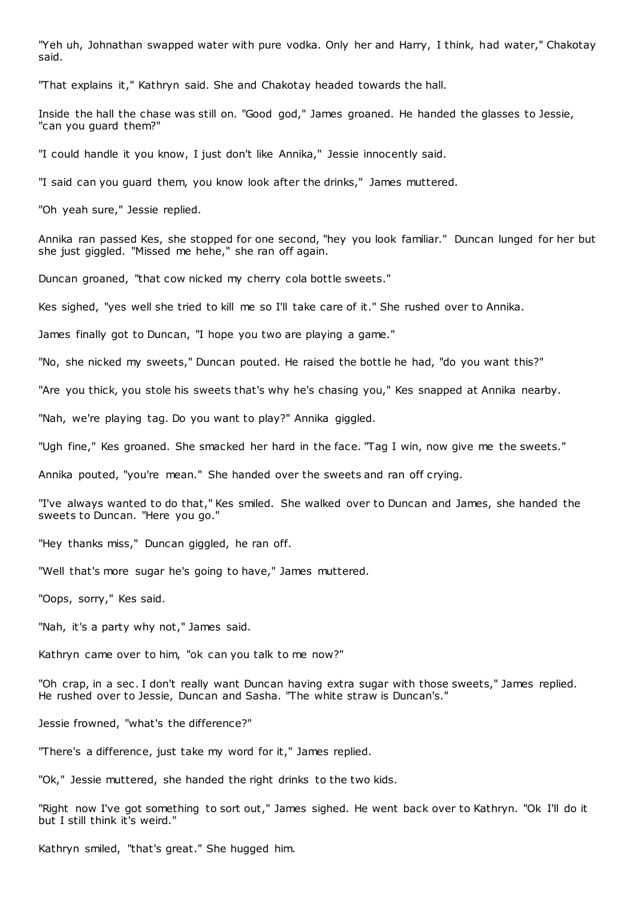"Yeh uh, Johnathan swapped water with pure vodka. Only her and Harry, I think, had water," Chakotay said.

"That explains it," Kathryn said. She and Chakotay headed towards the hall.

Inside the hall the chase was still on. "Good god," James groaned. He handed the glasses to Jessie, "can you guard them?"

"I could handle it you know, I just don't like Annika," Jessie innocently said.

"I said can you guard them, you know look after the drinks," James muttered.

"Oh yeah sure," Jessie replied.

Annika ran passed Kes, she stopped for one second, "hey you look familiar." Duncan lunged for her but she just giggled. "Missed me hehe," she ran off again.

Duncan groaned, "that cow nicked my cherry cola bottle sweets."

Kes sighed, "yes well she tried to kill me so I'll take care of it." She rushed over to Annika.

James finally got to Duncan, "I hope you two are playing a game."

"No, she nicked my sweets," Duncan pouted. He raised the bottle he had, "do you want this?"

"Are you thick, you stole his sweets that's why he's chasing you," Kes snapped at Annika nearby.

"Nah, we're playing tag. Do you want to play?" Annika giggled.

"Ugh fine," Kes groaned. She smacked her hard in the face. "Tag I win, now give me the sweets."

Annika pouted, "you're mean." She handed over the sweets and ran off crying.

"I've always wanted to do that," Kes smiled. She walked over to Duncan and James, she handed the sweets to Duncan. "Here you go."

"Hey thanks miss," Duncan giggled, he ran off.

"Well that's more sugar he's going to have," James muttered.

"Oops, sorry," Kes said.

"Nah, it's a party why not," James said.

Kathryn came over to him, "ok can you talk to me now?"

"Oh crap, in a sec . I don't really want Duncan having extra sugar with those sweets," James replied. He rushed over to Jessie, Duncan and Sasha. "The white straw is Duncan's."

Jessie frowned, "what's the difference?"

"There's a difference, just take my word for it," James replied.

"Ok," Jessie muttered, she handed the right drinks to the two kids.

"Right now I've got something to sort out," James sighed. He went back over to Kathryn. "Ok I'll do it but I still think it's weird."

Kathryn smiled, "that's great." She hugged him.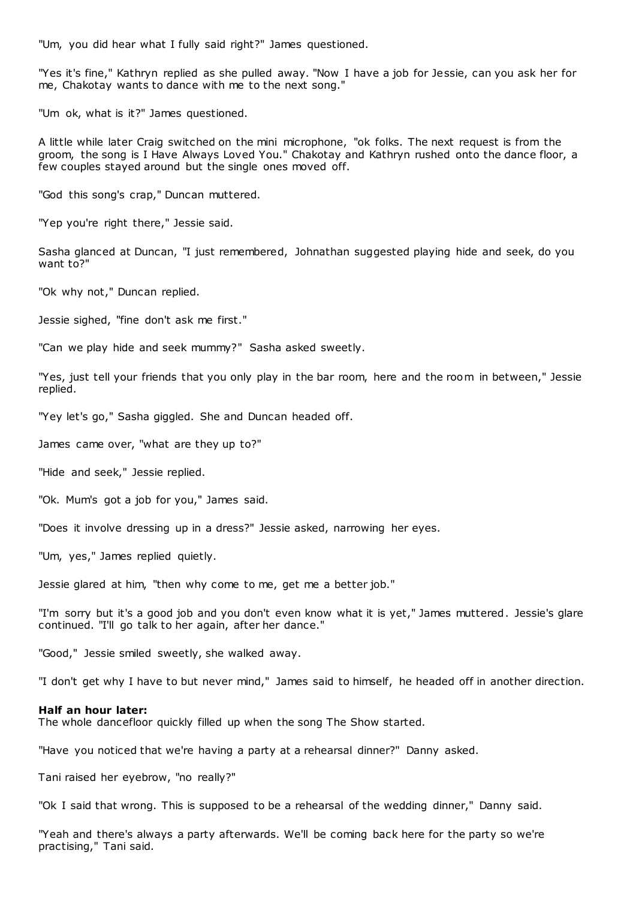"Um, you did hear what I fully said right?" James questioned.

"Yes it's fine," Kathryn replied as she pulled away. "Now I have a job for Jessie, can you ask her for me, Chakotay wants to dance with me to the next song."

"Um ok, what is it?" James questioned.

A little while later Craig switched on the mini microphone, "ok folks. The next request is from the groom, the song is I Have Always Loved You." Chakotay and Kathryn rushed onto the dance floor, a few couples stayed around but the single ones moved off.

"God this song's crap," Duncan muttered.

"Yep you're right there," Jessie said.

Sasha glanced at Duncan, "I just remembered, Johnathan suggested playing hide and seek, do you want to?"

"Ok why not," Duncan replied.

Jessie sighed, "fine don't ask me first."

"Can we play hide and seek mummy?" Sasha asked sweetly.

"Yes, just tell your friends that you only play in the bar room, here and the room in between," Jessie replied.

"Yey let's go," Sasha giggled. She and Duncan headed off.

James came over, "what are they up to?"

"Hide and seek," Jessie replied.

"Ok. Mum's got a job for you," James said.

"Does it involve dressing up in a dress?" Jessie asked, narrowing her eyes.

"Um, yes," James replied quietly.

Jessie glared at him, "then why come to me, get me a better job."

"I'm sorry but it's a good job and you don't even know what it is yet," James muttered. Jessie's glare continued. "I'll go talk to her again, after her dance."

"Good," Jessie smiled sweetly, she walked away.

"I don't get why I have to but never mind," James said to himself, he headed off in another direction.

## **Half an hour later:**

The whole dancefloor quickly filled up when the song The Show started.

"Have you noticed that we're having a party at a rehearsal dinner?" Danny asked.

Tani raised her eyebrow, "no really?"

"Ok I said that wrong. This is supposed to be a rehearsal of the wedding dinner," Danny said.

"Yeah and there's always a party afterwards. We'll be coming back here for the party so we're practising," Tani said.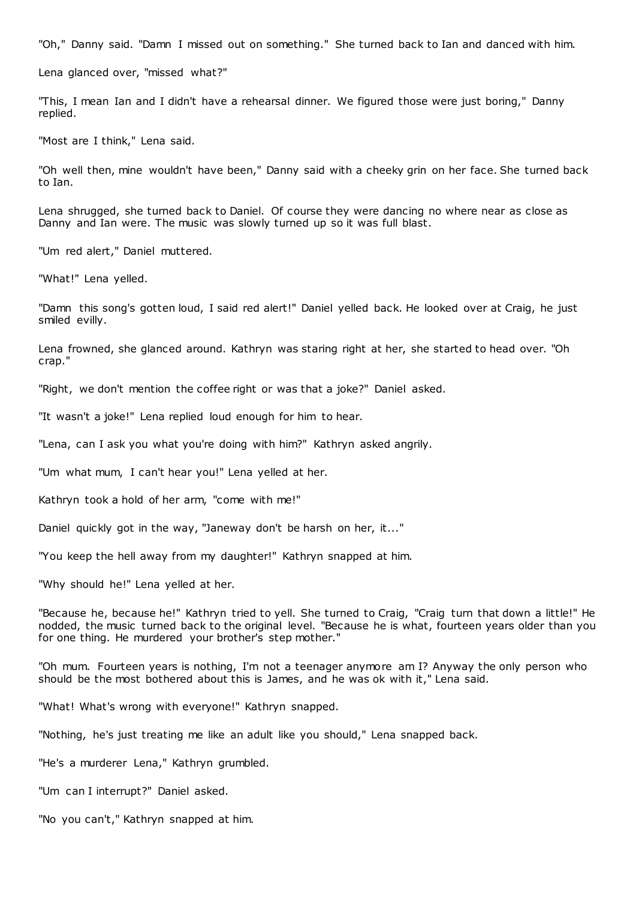"Oh," Danny said. "Damn I missed out on something." She turned back to Ian and danced with him.

Lena glanced over, "missed what?"

"This, I mean Ian and I didn't have a rehearsal dinner. We figured those were just boring," Danny replied.

"Most are I think," Lena said.

"Oh well then, mine wouldn't have been," Danny said with a cheeky grin on her face. She turned back to Ian.

Lena shrugged, she turned back to Daniel. Of course they were dancing no where near as close as Danny and Ian were. The music was slowly turned up so it was full blast.

"Um red alert," Daniel muttered.

"What!" Lena yelled.

"Damn this song's gotten loud, I said red alert!" Daniel yelled back. He looked over at Craig, he just smiled evilly.

Lena frowned, she glanced around. Kathryn was staring right at her, she started to head over. "Oh crap."

"Right, we don't mention the coffee right or was that a joke?" Daniel asked.

"It wasn't a joke!" Lena replied loud enough for him to hear.

"Lena, can I ask you what you're doing with him?" Kathryn asked angrily.

"Um what mum, I can't hear you!" Lena yelled at her.

Kathryn took a hold of her arm, "come with me!"

Daniel quickly got in the way, "Janeway don't be harsh on her, it..."

"You keep the hell away from my daughter!" Kathryn snapped at him.

"Why should he!" Lena yelled at her.

"Because he, because he!" Kathryn tried to yell. She turned to Craig, "Craig turn that down a little!" He nodded, the music turned back to the original level. "Because he is what, fourteen years older than you for one thing. He murdered your brother's step mother."

"Oh mum. Fourteen years is nothing, I'm not a teenager anymore am I? Anyway the only person who should be the most bothered about this is James, and he was ok with it," Lena said.

"What! What's wrong with everyone!" Kathryn snapped.

"Nothing, he's just treating me like an adult like you should," Lena snapped back.

"He's a murderer Lena," Kathryn grumbled.

"Um can I interrupt?" Daniel asked.

"No you can't," Kathryn snapped at him.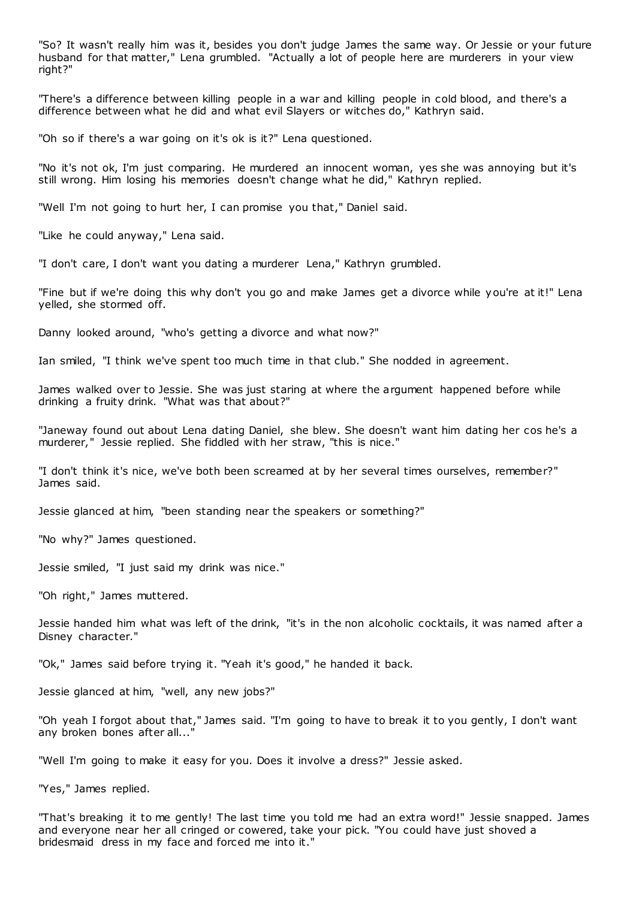"So? It wasn't really him was it, besides you don't judge James the same way. Or Jessie or your future husband for that matter," Lena grumbled. "Actually a lot of people here are murderers in your view right?"

"There's a difference between killing people in a war and killing people in cold blood, and there's a difference between what he did and what evil Slayers or witches do," Kathryn said.

"Oh so if there's a war going on it's ok is it?" Lena questioned.

"No it's not ok, I'm just comparing. He murdered an innocent woman, yes she was annoying but it's still wrong. Him losing his memories doesn't change what he did," Kathryn replied.

"Well I'm not going to hurt her, I can promise you that," Daniel said.

"Like he could anyway," Lena said.

"I don't care, I don't want you dating a murderer Lena," Kathryn grumbled.

"Fine but if we're doing this why don't you go and make James get a divorce while you're at it!" Lena yelled, she stormed off.

Danny looked around, "who's getting a divorce and what now?"

Ian smiled, "I think we've spent too much time in that club." She nodded in agreement.

James walked over to Jessie. She was just staring at where the argument happened before while drinking a fruity drink. "What was that about?"

"Janeway found out about Lena dating Daniel, she blew. She doesn't want him dating her cos he's a murderer," Jessie replied. She fiddled with her straw, "this is nice."

"I don't think it's nice, we've both been screamed at by her several times ourselves, remember?" James said.

Jessie glanced at him, "been standing near the speakers or something?"

"No why?" James questioned.

Jessie smiled, "I just said my drink was nice."

"Oh right," James muttered.

Jessie handed him what was left of the drink, "it's in the non alcoholic cocktails, it was named after a Disney character."

"Ok," James said before trying it. "Yeah it's good," he handed it back.

Jessie glanced at him, "well, any new jobs?"

"Oh yeah I forgot about that," James said. "I'm going to have to break it to you gently, I don't want any broken bones after all..."

"Well I'm going to make it easy for you. Does it involve a dress?" Jessie asked.

"Yes," James replied.

"That's breaking it to me gently! The last time you told me had an extra word!" Jessie snapped. James and everyone near her all cringed or cowered, take your pick. "You could have just shoved a bridesmaid dress in my face and forced me into it."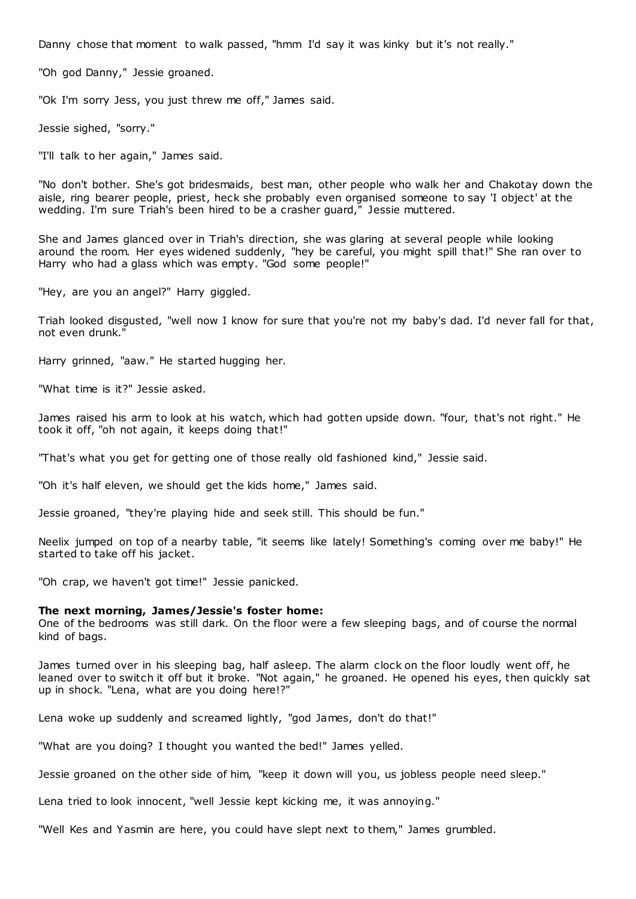Danny chose that moment to walk passed, "hmm I'd say it was kinky but it's not really."

"Oh god Danny," Jessie groaned.

"Ok I'm sorry Jess, you just threw me off," James said.

Jessie sighed, "sorry."

"I'll talk to her again," James said.

"No don't bother. She's got bridesmaids, best man, other people who walk her and Chakotay down the aisle, ring bearer people, priest, heck she probably even organised someone to say 'I object' at the wedding. I'm sure Triah's been hired to be a crasher guard," Jessie muttered.

She and James glanced over in Triah's direction, she was glaring at several people while looking around the room. Her eyes widened suddenly, "hey be careful, you might spill that!" She ran over to Harry who had a glass which was empty. "God some people!"

"Hey, are you an angel?" Harry giggled.

Triah looked disgusted, "well now I know for sure that you're not my baby's dad. I'd never fall for that, not even drunk."

Harry grinned, "aaw." He started hugging her.

"What time is it?" Jessie asked.

James raised his arm to look at his watch, which had gotten upside down. "four, that's not right." He took it off, "oh not again, it keeps doing that!"

"That's what you get for getting one of those really old fashioned kind," Jessie said.

"Oh it's half eleven, we should get the kids home," James said.

Jessie groaned, "they're playing hide and seek still. This should be fun."

Neelix jumped on top of a nearby table, "it seems like lately! Something's coming over me baby!" He started to take off his jacket.

"Oh crap, we haven't got time!" Jessie panicked.

#### **The next morning, James/Jessie's foster home:**

One of the bedrooms was still dark. On the floor were a few sleeping bags, and of course the normal kind of bags.

James turned over in his sleeping bag, half asleep. The alarm clock on the floor loudly went off, he leaned over to switch it off but it broke. "Not again," he groaned. He opened his eyes, then quickly sat up in shock. "Lena, what are you doing here!?"

Lena woke up suddenly and screamed lightly, "god James, don't do that!"

"What are you doing? I thought you wanted the bed!" James yelled.

Jessie groaned on the other side of him, "keep it down will you, us jobless people need sleep."

Lena tried to look innocent, "well Jessie kept kicking me, it was annoying."

"Well Kes and Yasmin are here, you could have slept next to them," James grumbled.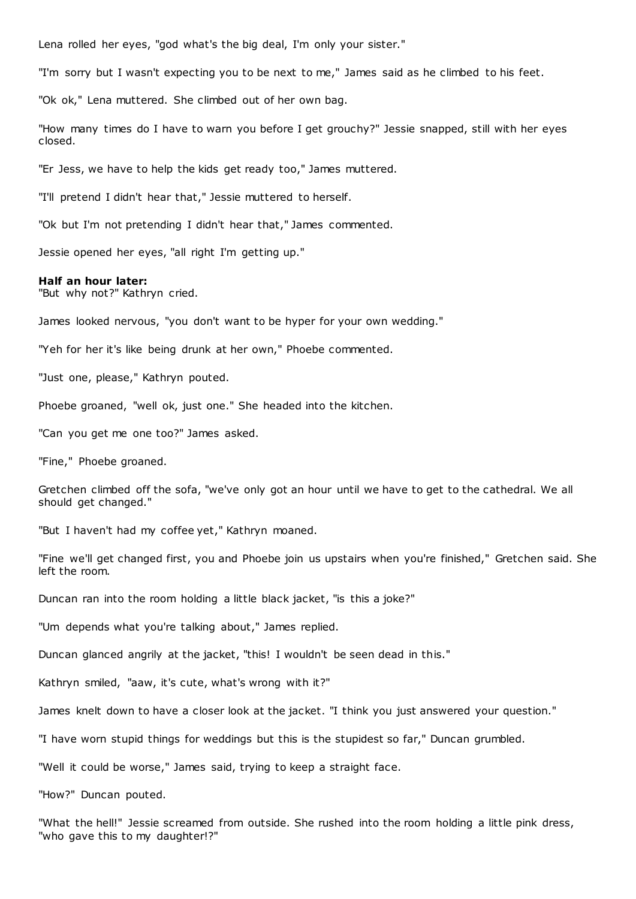Lena rolled her eyes, "god what's the big deal, I'm only your sister."

"I'm sorry but I wasn't expecting you to be next to me," James said as he climbed to his feet.

"Ok ok," Lena muttered. She climbed out of her own bag.

"How many times do I have to warn you before I get grouchy?" Jessie snapped, still with her eyes closed.

"Er Jess, we have to help the kids get ready too," James muttered.

"I'll pretend I didn't hear that," Jessie muttered to herself.

"Ok but I'm not pretending I didn't hear that," James commented.

Jessie opened her eyes, "all right I'm getting up."

#### **Half an hour later:**

"But why not?" Kathryn cried.

James looked nervous, "you don't want to be hyper for your own wedding."

"Yeh for her it's like being drunk at her own," Phoebe commented.

"Just one, please," Kathryn pouted.

Phoebe groaned, "well ok, just one." She headed into the kitchen.

"Can you get me one too?" James asked.

"Fine," Phoebe groaned.

Gretchen climbed off the sofa, "we've only got an hour until we have to get to the cathedral. We all should get changed."

"But I haven't had my coffee yet," Kathryn moaned.

"Fine we'll get changed first, you and Phoebe join us upstairs when you're finished," Gretchen said. She left the room.

Duncan ran into the room holding a little black jacket, "is this a joke?"

"Um depends what you're talking about," James replied.

Duncan glanced angrily at the jacket, "this! I wouldn't be seen dead in this."

Kathryn smiled, "aaw, it's cute, what's wrong with it?"

James knelt down to have a closer look at the jacket. "I think you just answered your question."

"I have worn stupid things for weddings but this is the stupidest so far," Duncan grumbled.

"Well it could be worse," James said, trying to keep a straight face.

"How?" Duncan pouted.

"What the hell!" Jessie screamed from outside. She rushed into the room holding a little pink dress, "who gave this to my daughter!?"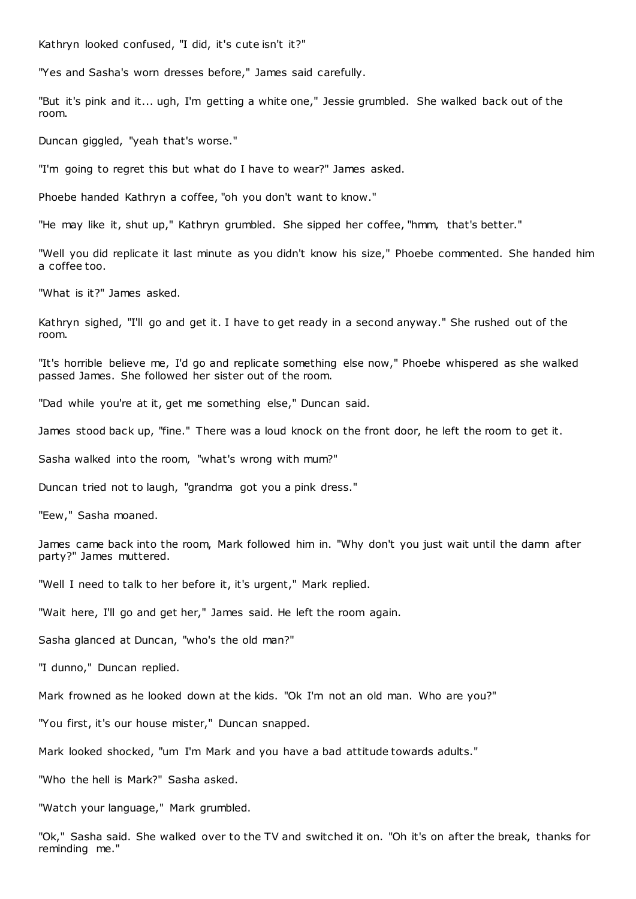Kathryn looked confused, "I did, it's cute isn't it?"

"Yes and Sasha's worn dresses before," James said carefully.

"But it's pink and it... ugh, I'm getting a white one," Jessie grumbled. She walked back out of the room.

Duncan giggled, "yeah that's worse."

"I'm going to regret this but what do I have to wear?" James asked.

Phoebe handed Kathryn a coffee, "oh you don't want to know."

"He may like it, shut up," Kathryn grumbled. She sipped her coffee, "hmm, that's better."

"Well you did replicate it last minute as you didn't know his size," Phoebe commented. She handed him a coffee too.

"What is it?" James asked.

Kathryn sighed, "I'll go and get it. I have to get ready in a second anyway." She rushed out of the room.

"It's horrible believe me, I'd go and replicate something else now," Phoebe whispered as she walked passed James. She followed her sister out of the room.

"Dad while you're at it, get me something else," Duncan said.

James stood back up, "fine." There was a loud knock on the front door, he left the room to get it.

Sasha walked into the room, "what's wrong with mum?"

Duncan tried not to laugh, "grandma got you a pink dress."

"Eew," Sasha moaned.

James came back into the room, Mark followed him in. "Why don't you just wait until the damn after party?" James muttered.

"Well I need to talk to her before it, it's urgent," Mark replied.

"Wait here, I'll go and get her," James said. He left the room again.

Sasha glanced at Duncan, "who's the old man?"

"I dunno," Duncan replied.

Mark frowned as he looked down at the kids. "Ok I'm not an old man. Who are you?"

"You first, it's our house mister," Duncan snapped.

Mark looked shocked, "um I'm Mark and you have a bad attitude towards adults."

"Who the hell is Mark?" Sasha asked.

"Watch your language," Mark grumbled.

"Ok," Sasha said. She walked over to the TV and switched it on. "Oh it's on after the break, thanks for reminding me."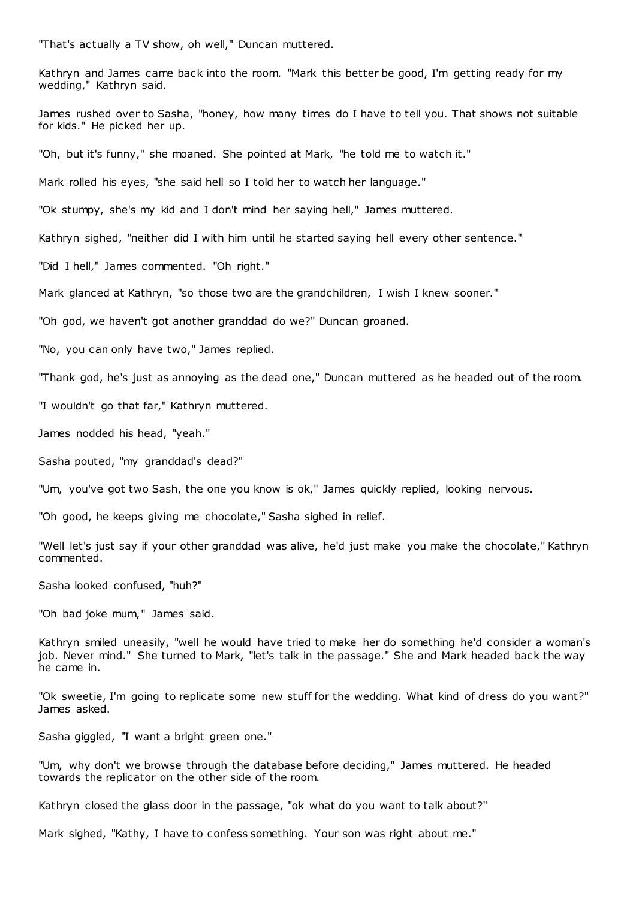"That's actually a TV show, oh well," Duncan muttered.

Kathryn and James came back into the room. "Mark this better be good, I'm getting ready for my wedding," Kathryn said.

James rushed over to Sasha, "honey, how many times do I have to tell you. That shows not suitable for kids." He picked her up.

"Oh, but it's funny," she moaned. She pointed at Mark, "he told me to watch it."

Mark rolled his eyes, "she said hell so I told her to watch her language."

"Ok stumpy, she's my kid and I don't mind her saying hell," James muttered.

Kathryn sighed, "neither did I with him until he started saying hell every other sentence."

"Did I hell," James commented. "Oh right."

Mark glanced at Kathryn, "so those two are the grandchildren, I wish I knew sooner."

"Oh god, we haven't got another granddad do we?" Duncan groaned.

"No, you can only have two," James replied.

"Thank god, he's just as annoying as the dead one," Duncan muttered as he headed out of the room.

"I wouldn't go that far," Kathryn muttered.

James nodded his head, "yeah."

Sasha pouted, "my granddad's dead?"

"Um, you've got two Sash, the one you know is ok," James quickly replied, looking nervous.

"Oh good, he keeps giving me chocolate," Sasha sighed in relief.

"Well let's just say if your other granddad was alive, he'd just make you make the chocolate," Kathryn commented.

Sasha looked confused, "huh?"

"Oh bad joke mum," James said.

Kathryn smiled uneasily, "well he would have tried to make her do something he'd consider a woman's job. Never mind." She turned to Mark, "let's talk in the passage." She and Mark headed back the way he came in.

"Ok sweetie, I'm going to replicate some new stuff for the wedding. What kind of dress do you want?" James asked.

Sasha giggled, "I want a bright green one."

"Um, why don't we browse through the database before deciding," James muttered. He headed towards the replicator on the other side of the room.

Kathryn closed the glass door in the passage, "ok what do you want to talk about?"

Mark sighed, "Kathy, I have to confess something. Your son was right about me."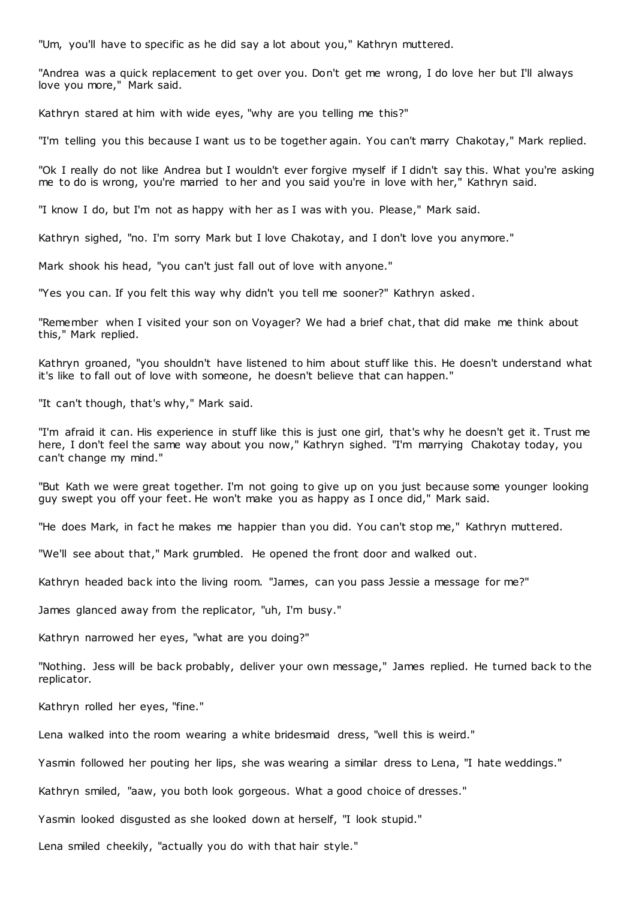"Um, you'll have to specific as he did say a lot about you," Kathryn muttered.

"Andrea was a quick replacement to get over you. Don't get me wrong, I do love her but I'll always love you more," Mark said.

Kathryn stared at him with wide eyes, "why are you telling me this?"

"I'm telling you this because I want us to be together again. You can't marry Chakotay," Mark replied.

"Ok I really do not like Andrea but I wouldn't ever forgive myself if I didn't say this. What you're asking me to do is wrong, you're married to her and you said you're in love with her," Kathryn said.

"I know I do, but I'm not as happy with her as I was with you. Please," Mark said.

Kathryn sighed, "no. I'm sorry Mark but I love Chakotay, and I don't love you anymore."

Mark shook his head, "you can't just fall out of love with anyone."

"Yes you can. If you felt this way why didn't you tell me sooner?" Kathryn asked.

"Remember when I visited your son on Voyager? We had a brief chat, that did make me think about this," Mark replied.

Kathryn groaned, "you shouldn't have listened to him about stuff like this. He doesn't understand what it's like to fall out of love with someone, he doesn't believe that can happen."

"It can't though, that's why," Mark said.

"I'm afraid it can. His experience in stuff like this is just one girl, that's why he doesn't get it. Trust me here, I don't feel the same way about you now," Kathryn sighed. "I'm marrying Chakotay today, you can't change my mind."

"But Kath we were great together. I'm not going to give up on you just because some younger looking guy swept you off your feet. He won't make you as happy as I once did," Mark said.

"He does Mark, in fact he makes me happier than you did. You can't stop me," Kathryn muttered.

"We'll see about that," Mark grumbled. He opened the front door and walked out.

Kathryn headed back into the living room. "James, can you pass Jessie a message for me?"

James glanced away from the replicator, "uh, I'm busy."

Kathryn narrowed her eyes, "what are you doing?"

"Nothing. Jess will be back probably, deliver your own message," James replied. He turned back to the replicator.

Kathryn rolled her eyes, "fine."

Lena walked into the room wearing a white bridesmaid dress, "well this is weird."

Yasmin followed her pouting her lips, she was wearing a similar dress to Lena, "I hate weddings."

Kathryn smiled, "aaw, you both look gorgeous. What a good choice of dresses."

Yasmin looked disgusted as she looked down at herself, "I look stupid."

Lena smiled cheekily, "actually you do with that hair style."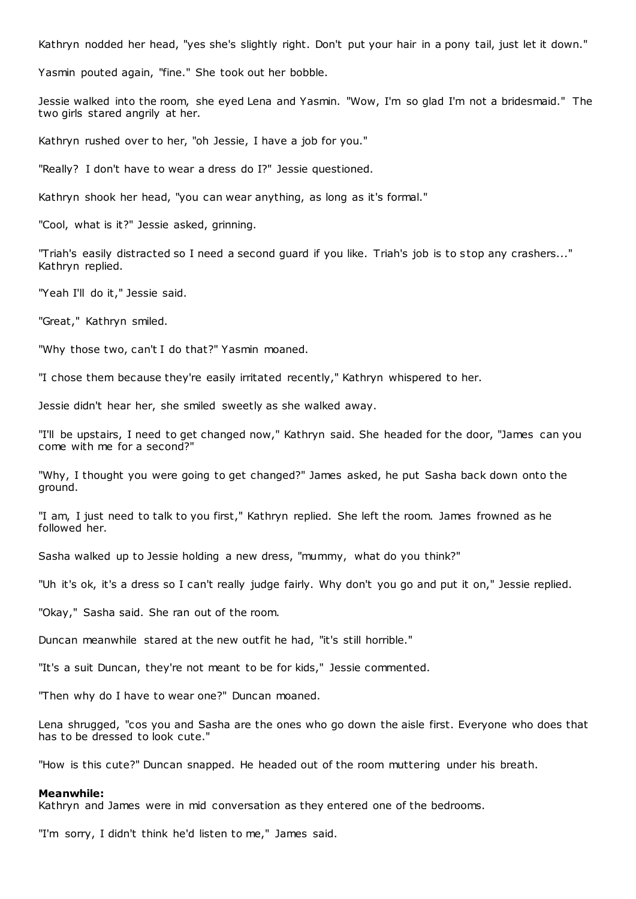Kathryn nodded her head, "yes she's slightly right. Don't put your hair in a pony tail, just let it down."

Yasmin pouted again, "fine." She took out her bobble.

Jessie walked into the room, she eyed Lena and Yasmin. "Wow, I'm so glad I'm not a bridesmaid." The two girls stared angrily at her.

Kathryn rushed over to her, "oh Jessie, I have a job for you."

"Really? I don't have to wear a dress do I?" Jessie questioned.

Kathryn shook her head, "you can wear anything, as long as it's formal."

"Cool, what is it?" Jessie asked, grinning.

"Triah's easily distracted so I need a second guard if you like. Triah's job is to stop any crashers..." Kathryn replied.

"Yeah I'll do it," Jessie said.

"Great," Kathryn smiled.

"Why those two, can't I do that?" Yasmin moaned.

"I chose them because they're easily irritated recently," Kathryn whispered to her.

Jessie didn't hear her, she smiled sweetly as she walked away.

"I'll be upstairs, I need to get changed now," Kathryn said. She headed for the door, "James can you come with me for a second?"

"Why, I thought you were going to get changed?" James asked, he put Sasha back down onto the ground.

"I am, I just need to talk to you first," Kathryn replied. She left the room. James frowned as he followed her.

Sasha walked up to Jessie holding a new dress, "mummy, what do you think?"

"Uh it's ok, it's a dress so I can't really judge fairly. Why don't you go and put it on," Jessie replied.

"Okay," Sasha said. She ran out of the room.

Duncan meanwhile stared at the new outfit he had, "it's still horrible."

"It's a suit Duncan, they're not meant to be for kids," Jessie commented.

"Then why do I have to wear one?" Duncan moaned.

Lena shrugged, "cos you and Sasha are the ones who go down the aisle first. Everyone who does that has to be dressed to look cute."

"How is this cute?" Duncan snapped. He headed out of the room muttering under his breath.

#### **Meanwhile:**

Kathryn and James were in mid conversation as they entered one of the bedrooms.

"I'm sorry, I didn't think he'd listen to me," James said.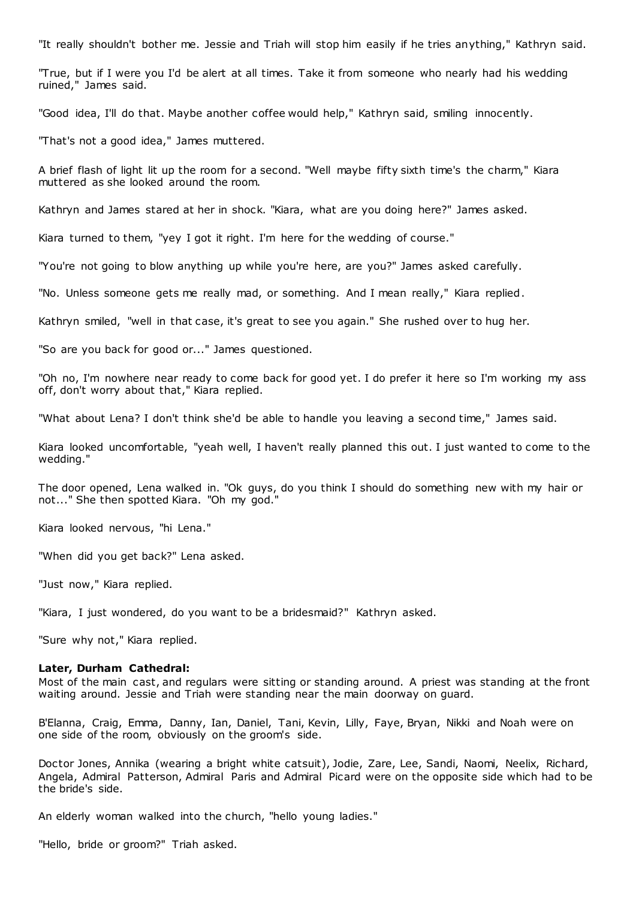"It really shouldn't bother me. Jessie and Triah will stop him easily if he tries anything," Kathryn said.

"True, but if I were you I'd be alert at all times. Take it from someone who nearly had his wedding ruined," James said.

"Good idea, I'll do that. Maybe another coffee would help," Kathryn said, smiling innocently.

"That's not a good idea," James muttered.

A brief flash of light lit up the room for a second. "Well maybe fifty sixth time's the charm," Kiara muttered as she looked around the room.

Kathryn and James stared at her in shock. "Kiara, what are you doing here?" James asked.

Kiara turned to them, "yey I got it right. I'm here for the wedding of course."

"You're not going to blow anything up while you're here, are you?" James asked carefully.

"No. Unless someone gets me really mad, or something. And I mean really," Kiara replied.

Kathryn smiled, "well in that case, it's great to see you again." She rushed over to hug her.

"So are you back for good or..." James questioned.

"Oh no, I'm nowhere near ready to come back for good yet. I do prefer it here so I'm working my ass off, don't worry about that," Kiara replied.

"What about Lena? I don't think she'd be able to handle you leaving a second time," James said.

Kiara looked uncomfortable, "yeah well, I haven't really planned this out. I just wanted to come to the wedding."

The door opened, Lena walked in. "Ok guys, do you think I should do something new with my hair or not..." She then spotted Kiara. "Oh my god."

Kiara looked nervous, "hi Lena."

"When did you get back?" Lena asked.

"Just now," Kiara replied.

"Kiara, I just wondered, do you want to be a bridesmaid?" Kathryn asked.

"Sure why not," Kiara replied.

#### **Later, Durham Cathedral:**

Most of the main cast, and regulars were sitting or standing around. A priest was standing at the front waiting around. Jessie and Triah were standing near the main doorway on guard.

B'Elanna, Craig, Emma, Danny, Ian, Daniel, Tani, Kevin, Lilly, Faye, Bryan, Nikki and Noah were on one side of the room, obviously on the groom's side.

Doctor Jones, Annika (wearing a bright white catsuit), Jodie, Zare, Lee, Sandi, Naomi, Neelix, Richard, Angela, Admiral Patterson, Admiral Paris and Admiral Picard were on the opposite side which had to be the bride's side.

An elderly woman walked into the church, "hello young ladies."

"Hello, bride or groom?" Triah asked.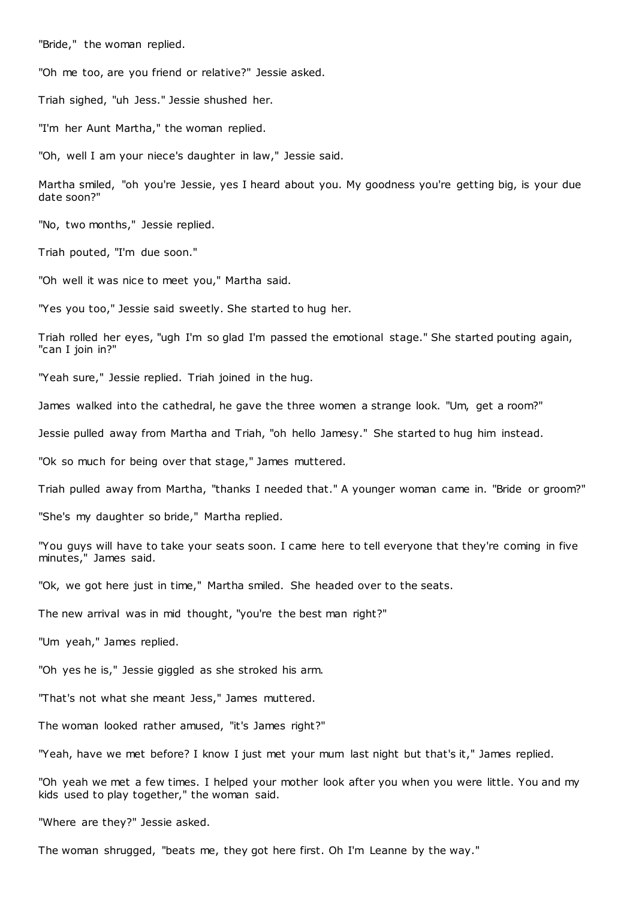"Bride," the woman replied.

"Oh me too, are you friend or relative?" Jessie asked.

Triah sighed, "uh Jess." Jessie shushed her.

"I'm her Aunt Martha," the woman replied.

"Oh, well I am your niece's daughter in law," Jessie said.

Martha smiled, "oh you're Jessie, yes I heard about you. My goodness you're getting big, is your due date soon?"

"No, two months," Jessie replied.

Triah pouted, "I'm due soon."

"Oh well it was nice to meet you," Martha said.

"Yes you too," Jessie said sweetly. She started to hug her.

Triah rolled her eyes, "ugh I'm so glad I'm passed the emotional stage." She started pouting again, "can I join in?"

"Yeah sure," Jessie replied. Triah joined in the hug.

James walked into the cathedral, he gave the three women a strange look. "Um, get a room?"

Jessie pulled away from Martha and Triah, "oh hello Jamesy." She started to hug him instead.

"Ok so much for being over that stage," James muttered.

Triah pulled away from Martha, "thanks I needed that." A younger woman came in. "Bride or groom?"

"She's my daughter so bride," Martha replied.

"You guys will have to take your seats soon. I came here to tell everyone that they're coming in five minutes," James said.

"Ok, we got here just in time," Martha smiled. She headed over to the seats.

The new arrival was in mid thought, "you're the best man right?"

"Um yeah," James replied.

"Oh yes he is," Jessie giggled as she stroked his arm.

"That's not what she meant Jess," James muttered.

The woman looked rather amused, "it's James right?"

"Yeah, have we met before? I know I just met your mum last night but that's it," James replied.

"Oh yeah we met a few times. I helped your mother look after you when you were little. You and my kids used to play together," the woman said.

"Where are they?" Jessie asked.

The woman shrugged, "beats me, they got here first. Oh I'm Leanne by the way."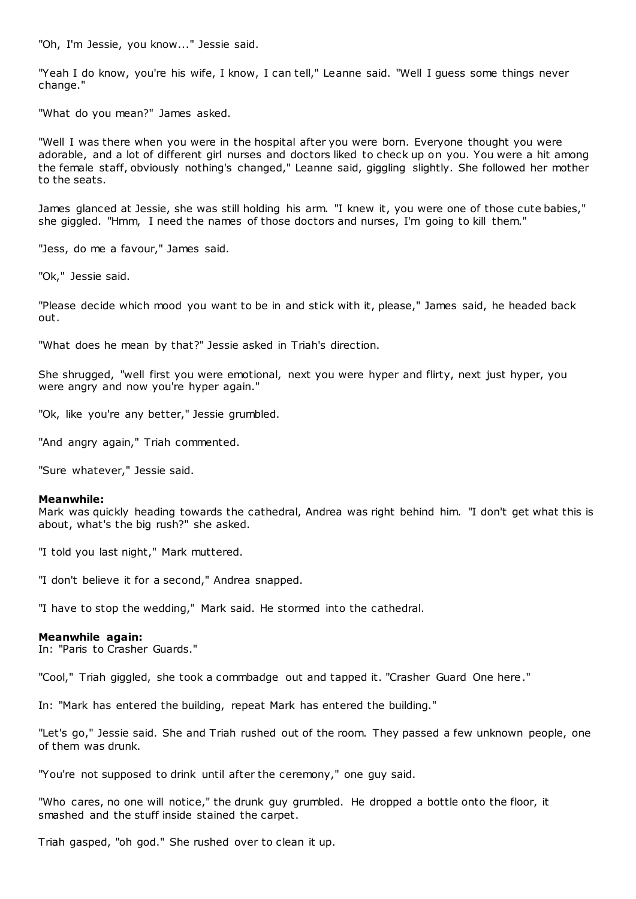"Oh, I'm Jessie, you know..." Jessie said.

"Yeah I do know, you're his wife, I know, I can tell," Leanne said. "Well I guess some things never change."

"What do you mean?" James asked.

"Well I was there when you were in the hospital after you were born. Everyone thought you were adorable, and a lot of different girl nurses and doctors liked to check up on you. You were a hit among the female staff, obviously nothing's changed," Leanne said, giggling slightly. She followed her mother to the seats.

James glanced at Jessie, she was still holding his arm. "I knew it, you were one of those cute babies," she giggled. "Hmm, I need the names of those doctors and nurses, I'm going to kill them."

"Jess, do me a favour," James said.

"Ok," Jessie said.

"Please decide which mood you want to be in and stick with it, please," James said, he headed back out.

"What does he mean by that?" Jessie asked in Triah's direction.

She shrugged, "well first you were emotional, next you were hyper and flirty, next just hyper, you were angry and now you're hyper again."

"Ok, like you're any better," Jessie grumbled.

"And angry again," Triah commented.

"Sure whatever," Jessie said.

#### **Meanwhile:**

Mark was quickly heading towards the cathedral, Andrea was right behind him. "I don't get what this is about, what's the big rush?" she asked.

"I told you last night," Mark muttered.

"I don't believe it for a second," Andrea snapped.

"I have to stop the wedding," Mark said. He stormed into the cathedral.

# **Meanwhile again:**

In: "Paris to Crasher Guards."

"Cool," Triah giggled, she took a commbadge out and tapped it. "Crasher Guard One here."

In: "Mark has entered the building, repeat Mark has entered the building."

"Let's go," Jessie said. She and Triah rushed out of the room. They passed a few unknown people, one of them was drunk.

"You're not supposed to drink until after the ceremony," one guy said.

"Who cares, no one will notice," the drunk guy grumbled. He dropped a bottle onto the floor, it smashed and the stuff inside stained the carpet.

Triah gasped, "oh god." She rushed over to clean it up.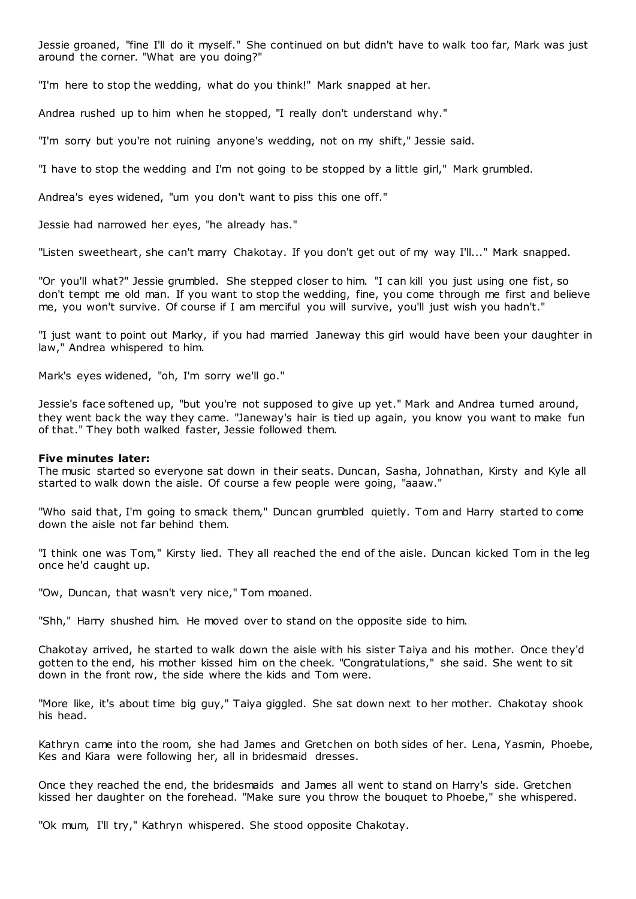Jessie groaned, "fine I'll do it myself." She continued on but didn't have to walk too far, Mark was just around the corner. "What are you doing?"

"I'm here to stop the wedding, what do you think!" Mark snapped at her.

Andrea rushed up to him when he stopped, "I really don't understand why."

"I'm sorry but you're not ruining anyone's wedding, not on my shift," Jessie said.

"I have to stop the wedding and I'm not going to be stopped by a little girl," Mark grumbled.

Andrea's eyes widened, "um you don't want to piss this one off."

Jessie had narrowed her eyes, "he already has."

"Listen sweetheart, she can't marry Chakotay. If you don't get out of my way I'll..." Mark snapped.

"Or you'll what?" Jessie grumbled. She stepped closer to him. "I can kill you just using one fist, so don't tempt me old man. If you want to stop the wedding, fine, you come through me first and believe me, you won't survive. Of course if I am merciful you will survive, you'll just wish you hadn't."

"I just want to point out Marky, if you had married Janeway this girl would have been your daughter in law," Andrea whispered to him.

Mark's eyes widened, "oh, I'm sorry we'll go."

Jessie's face softened up, "but you're not supposed to give up yet." Mark and Andrea turned around, they went back the way they came. "Janeway's hair is tied up again, you know you want to make fun of that." They both walked faster, Jessie followed them.

## **Five minutes later:**

The music started so everyone sat down in their seats. Duncan, Sasha, Johnathan, Kirsty and Kyle all started to walk down the aisle. Of course a few people were going, "aaaw."

"Who said that, I'm going to smack them," Duncan grumbled quietly. Tom and Harry started to come down the aisle not far behind them.

"I think one was Tom," Kirsty lied. They all reached the end of the aisle. Duncan kicked Tom in the leg once he'd caught up.

"Ow, Duncan, that wasn't very nice," Tom moaned.

"Shh," Harry shushed him. He moved over to stand on the opposite side to him.

Chakotay arrived, he started to walk down the aisle with his sister Taiya and his mother. Once they'd gotten to the end, his mother kissed him on the cheek. "Congratulations," she said. She went to sit down in the front row, the side where the kids and Tom were.

"More like, it's about time big guy," Taiya giggled. She sat down next to her mother. Chakotay shook his head.

Kathryn came into the room, she had James and Gretchen on both sides of her. Lena, Yasmin, Phoebe, Kes and Kiara were following her, all in bridesmaid dresses.

Once they reached the end, the bridesmaids and James all went to stand on Harry's side. Gretchen kissed her daughter on the forehead. "Make sure you throw the bouquet to Phoebe," she whispered.

"Ok mum, I'll try," Kathryn whispered. She stood opposite Chakotay.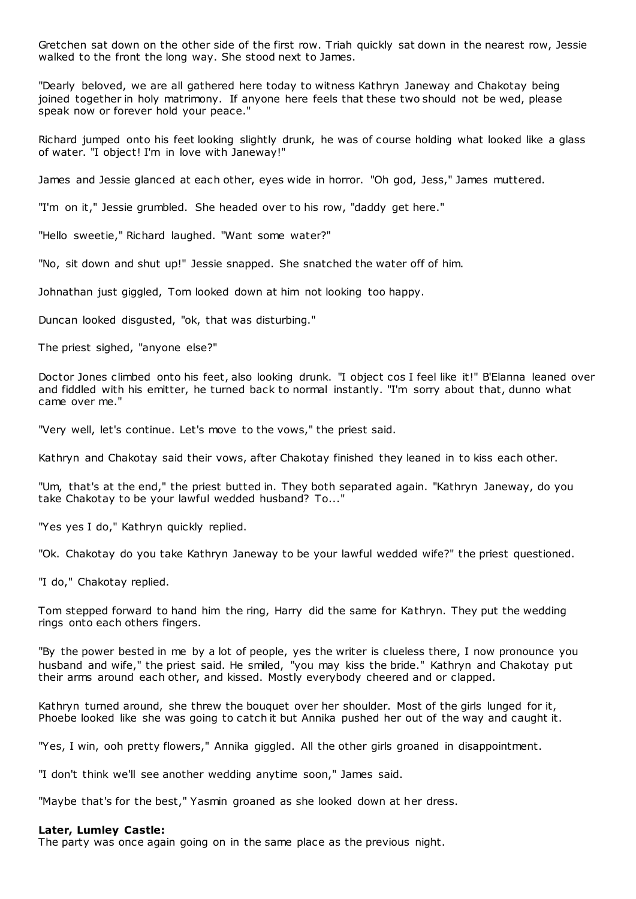Gretchen sat down on the other side of the first row. Triah quickly sat down in the nearest row, Jessie walked to the front the long way. She stood next to James.

"Dearly beloved, we are all gathered here today to witness Kathryn Janeway and Chakotay being joined together in holy matrimony. If anyone here feels that these two should not be wed, please speak now or forever hold your peace."

Richard jumped onto his feet looking slightly drunk, he was of course holding what looked like a glass of water. "I object! I'm in love with Janeway!"

James and Jessie glanced at each other, eyes wide in horror. "Oh god, Jess," James muttered.

"I'm on it," Jessie grumbled. She headed over to his row, "daddy get here."

"Hello sweetie," Richard laughed. "Want some water?"

"No, sit down and shut up!" Jessie snapped. She snatched the water off of him.

Johnathan just giggled, Tom looked down at him not looking too happy.

Duncan looked disgusted, "ok, that was disturbing."

The priest sighed, "anyone else?"

Doctor Jones climbed onto his feet, also looking drunk. "I object cos I feel like it!" B'Elanna leaned over and fiddled with his emitter, he turned back to normal instantly. "I'm sorry about that, dunno what came over me."

"Very well, let's continue. Let's move to the vows," the priest said.

Kathryn and Chakotay said their vows, after Chakotay finished they leaned in to kiss each other.

"Um, that's at the end," the priest butted in. They both separated again. "Kathryn Janeway, do you take Chakotay to be your lawful wedded husband? To..."

"Yes yes I do," Kathryn quickly replied.

"Ok. Chakotay do you take Kathryn Janeway to be your lawful wedded wife?" the priest questioned.

"I do," Chakotay replied.

Tom stepped forward to hand him the ring, Harry did the same for Kathryn. They put the wedding rings onto each others fingers.

"By the power bested in me by a lot of people, yes the writer is clueless there, I now pronounce you husband and wife," the priest said. He smiled, "you may kiss the bride." Kathryn and Chakotay put their arms around each other, and kissed. Mostly everybody cheered and or clapped.

Kathryn turned around, she threw the bouquet over her shoulder. Most of the girls lunged for it, Phoebe looked like she was going to catch it but Annika pushed her out of the way and caught it.

"Yes, I win, ooh pretty flowers," Annika giggled. All the other girls groaned in disappointment.

"I don't think we'll see another wedding anytime soon," James said.

"Maybe that's for the best," Yasmin groaned as she looked down at her dress.

## **Later, Lumley Castle:**

The party was once again going on in the same place as the previous night.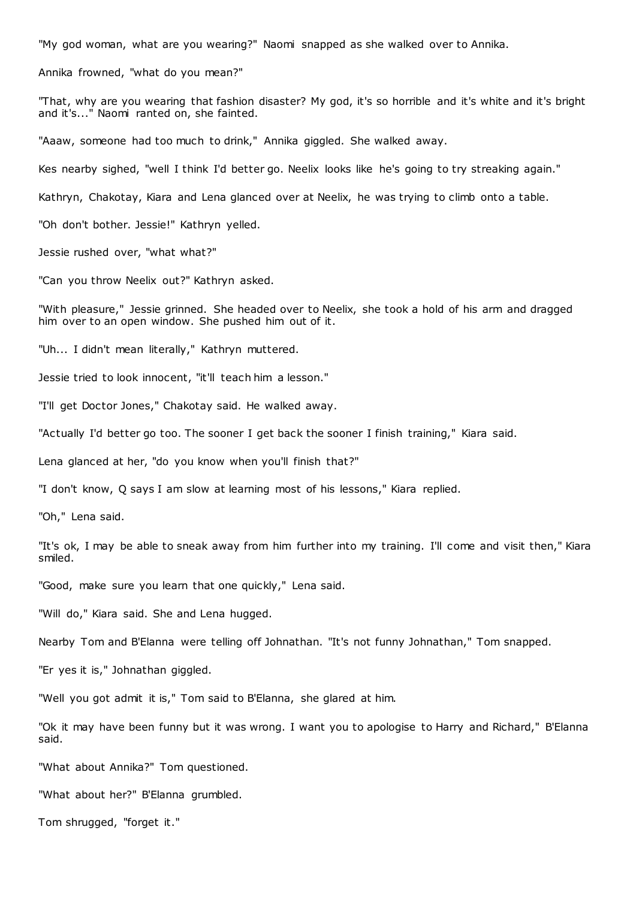"My god woman, what are you wearing?" Naomi snapped as she walked over to Annika.

Annika frowned, "what do you mean?"

"That, why are you wearing that fashion disaster? My god, it's so horrible and it's white and it's bright and it's..." Naomi ranted on, she fainted.

"Aaaw, someone had too much to drink," Annika giggled. She walked away.

Kes nearby sighed, "well I think I'd better go. Neelix looks like he's going to try streaking again."

Kathryn, Chakotay, Kiara and Lena glanced over at Neelix, he was trying to climb onto a table.

"Oh don't bother. Jessie!" Kathryn yelled.

Jessie rushed over, "what what?"

"Can you throw Neelix out?" Kathryn asked.

"With pleasure," Jessie grinned. She headed over to Neelix, she took a hold of his arm and dragged him over to an open window. She pushed him out of it.

"Uh... I didn't mean literally," Kathryn muttered.

Jessie tried to look innocent, "it'll teach him a lesson."

"I'll get Doctor Jones," Chakotay said. He walked away.

"Actually I'd better go too. The sooner I get back the sooner I finish training," Kiara said.

Lena glanced at her, "do you know when you'll finish that?"

"I don't know, Q says I am slow at learning most of his lessons," Kiara replied.

"Oh," Lena said.

"It's ok, I may be able to sneak away from him further into my training. I'll come and visit then," Kiara smiled.

"Good, make sure you learn that one quickly," Lena said.

"Will do," Kiara said. She and Lena hugged.

Nearby Tom and B'Elanna were telling off Johnathan. "It's not funny Johnathan," Tom snapped.

"Er yes it is," Johnathan giggled.

"Well you got admit it is," Tom said to B'Elanna, she glared at him.

"Ok it may have been funny but it was wrong. I want you to apologise to Harry and Richard," B'Elanna said.

"What about Annika?" Tom questioned.

"What about her?" B'Elanna grumbled.

Tom shrugged, "forget it."